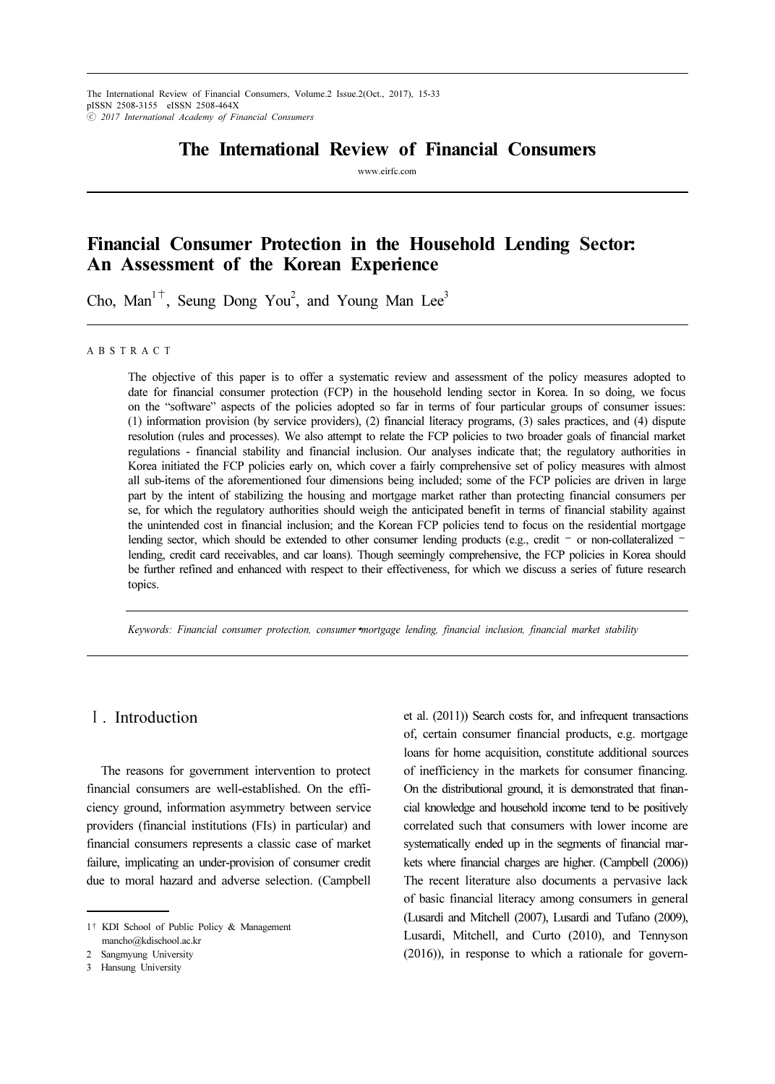## The International Review of Financial Consumers

www.eirfc.com

# Financial Consumer Protection in the Household Lending Sector: An Assessment of the Korean Experience

Cho, Man<sup>1+</sup>, Seung Dong You<sup>2</sup>, and Young Man Lee<sup>3</sup>

#### A B S T R A C T

The objective of this paper is to offer a systematic review and assessment of the policy measures adopted to date for financial consumer protection (FCP) in the household lending sector in Korea. In so doing, we focus on the "software" aspects of the policies adopted so far in terms of four particular groups of consumer issues: (1) information provision (by service providers), (2) financial literacy programs, (3) sales practices, and (4) dispute resolution (rules and processes). We also attempt to relate the FCP policies to two broader goals of financial market regulations - financial stability and financial inclusion. Our analyses indicate that; the regulatory authorities in Korea initiated the FCP policies early on, which cover a fairly comprehensive set of policy measures with almost all sub-items of the aforementioned four dimensions being included; some of the FCP policies are driven in large part by the intent of stabilizing the housing and mortgage market rather than protecting financial consumers per se, for which the regulatory authorities should weigh the anticipated benefit in terms of financial stability against the unintended cost in financial inclusion; and the Korean FCP policies tend to focus on the residential mortgage lending sector, which should be extended to other consumer lending products (e.g., credit - or non-collateralized lending, credit card receivables, and car loans). Though seemingly comprehensive, the FCP policies in Korea should be further refined and enhanced with respect to their effectiveness, for which we discuss a series of future research topics.

Keywords: Financial consumer protection, consumer∙mortgage lending, financial inclusion, financial market stability

## Ⅰ. Introduction

The reasons for government intervention to protect financial consumers are well-established. On the efficiency ground, information asymmetry between service providers (financial institutions (FIs) in particular) and financial consumers represents a classic case of market failure, implicating an under-provision of consumer credit due to moral hazard and adverse selection. (Campbell et al. (2011)) Search costs for, and infrequent transactions of, certain consumer financial products, e.g. mortgage loans for home acquisition, constitute additional sources of inefficiency in the markets for consumer financing. On the distributional ground, it is demonstrated that financial knowledge and household income tend to be positively correlated such that consumers with lower income are systematically ended up in the segments of financial markets where financial charges are higher. (Campbell (2006)) The recent literature also documents a pervasive lack of basic financial literacy among consumers in general (Lusardi and Mitchell (2007), Lusardi and Tufano (2009), Lusardi, Mitchell, and Curto (2010), and Tennyson (2016)), in response to which a rationale for govern-

<sup>1&</sup>lt;sup>†</sup> KDI School of Public Policy & Management mancho@kdischool.ac.kr

<sup>2</sup> Sangmyung University

<sup>3</sup> Hansung University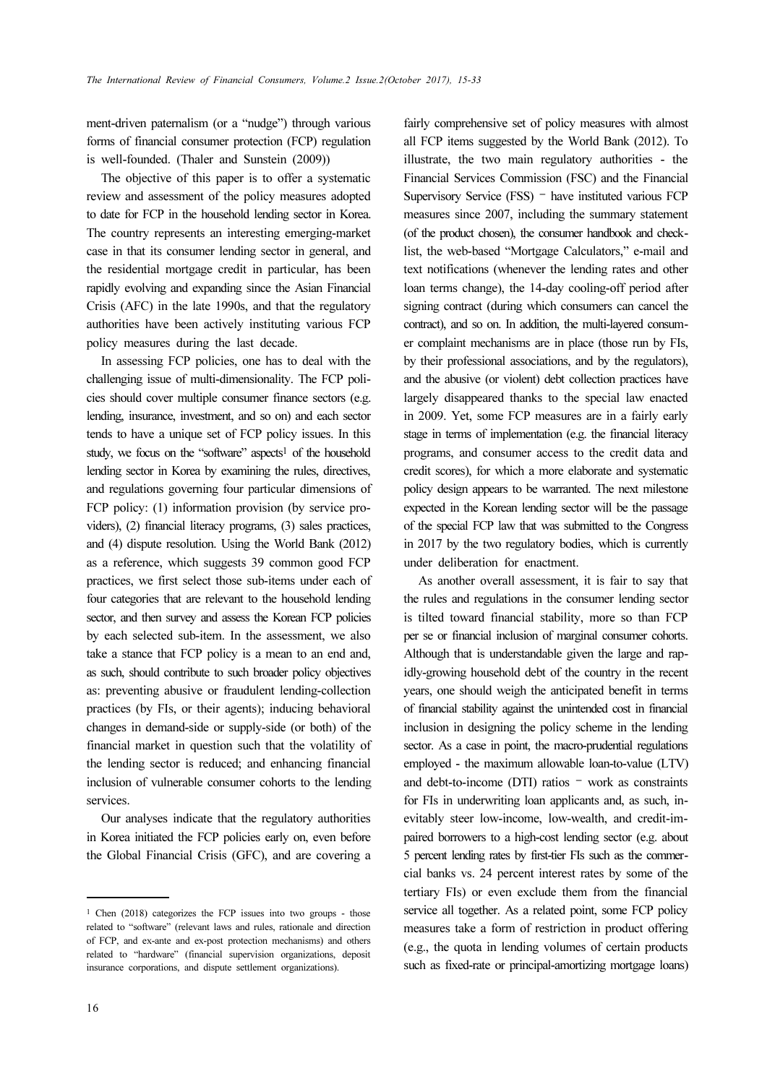ment-driven paternalism (or a "nudge") through various forms of financial consumer protection (FCP) regulation is well-founded. (Thaler and Sunstein (2009))

The objective of this paper is to offer a systematic review and assessment of the policy measures adopted to date for FCP in the household lending sector in Korea. The country represents an interesting emerging-market case in that its consumer lending sector in general, and the residential mortgage credit in particular, has been rapidly evolving and expanding since the Asian Financial Crisis (AFC) in the late 1990s, and that the regulatory authorities have been actively instituting various FCP policy measures during the last decade.

In assessing FCP policies, one has to deal with the challenging issue of multi-dimensionality. The FCP policies should cover multiple consumer finance sectors (e.g. lending, insurance, investment, and so on) and each sector tends to have a unique set of FCP policy issues. In this study, we focus on the "software" aspects<sup>1</sup> of the household lending sector in Korea by examining the rules, directives, and regulations governing four particular dimensions of FCP policy: (1) information provision (by service providers), (2) financial literacy programs, (3) sales practices, and (4) dispute resolution. Using the World Bank (2012) as a reference, which suggests 39 common good FCP practices, we first select those sub-items under each of four categories that are relevant to the household lending sector, and then survey and assess the Korean FCP policies by each selected sub-item. In the assessment, we also take a stance that FCP policy is a mean to an end and, as such, should contribute to such broader policy objectives as: preventing abusive or fraudulent lending-collection practices (by FIs, or their agents); inducing behavioral changes in demand-side or supply-side (or both) of the financial market in question such that the volatility of the lending sector is reduced; and enhancing financial inclusion of vulnerable consumer cohorts to the lending services.

Our analyses indicate that the regulatory authorities in Korea initiated the FCP policies early on, even before the Global Financial Crisis (GFC), and are covering a

fairly comprehensive set of policy measures with almost all FCP items suggested by the World Bank (2012). To illustrate, the two main regulatory authorities - the Financial Services Commission (FSC) and the Financial Supervisory Service (FSS) – have instituted various FCP measures since 2007, including the summary statement (of the product chosen), the consumer handbook and checklist, the web-based "Mortgage Calculators," e-mail and text notifications (whenever the lending rates and other loan terms change), the 14-day cooling-off period after signing contract (during which consumers can cancel the contract), and so on. In addition, the multi-layered consumer complaint mechanisms are in place (those run by FIs, by their professional associations, and by the regulators), and the abusive (or violent) debt collection practices have largely disappeared thanks to the special law enacted in 2009. Yet, some FCP measures are in a fairly early stage in terms of implementation (e.g. the financial literacy programs, and consumer access to the credit data and credit scores), for which a more elaborate and systematic policy design appears to be warranted. The next milestone expected in the Korean lending sector will be the passage of the special FCP law that was submitted to the Congress in 2017 by the two regulatory bodies, which is currently under deliberation for enactment.

As another overall assessment, it is fair to say that the rules and regulations in the consumer lending sector is tilted toward financial stability, more so than FCP per se or financial inclusion of marginal consumer cohorts. Although that is understandable given the large and rapidly-growing household debt of the country in the recent years, one should weigh the anticipated benefit in terms of financial stability against the unintended cost in financial inclusion in designing the policy scheme in the lending sector. As a case in point, the macro-prudential regulations employed - the maximum allowable loan-to-value (LTV) and debt-to-income (DTI) ratios – work as constraints for FIs in underwriting loan applicants and, as such, inevitably steer low-income, low-wealth, and credit-impaired borrowers to a high-cost lending sector (e.g. about 5 percent lending rates by first-tier FIs such as the commercial banks vs. 24 percent interest rates by some of the tertiary FIs) or even exclude them from the financial service all together. As a related point, some FCP policy measures take a form of restriction in product offering (e.g., the quota in lending volumes of certain products such as fixed-rate or principal-amortizing mortgage loans)

<sup>1</sup> Chen (2018) categorizes the FCP issues into two groups - those related to "software" (relevant laws and rules, rationale and direction of FCP, and ex-ante and ex-post protection mechanisms) and others related to "hardware" (financial supervision organizations, deposit insurance corporations, and dispute settlement organizations).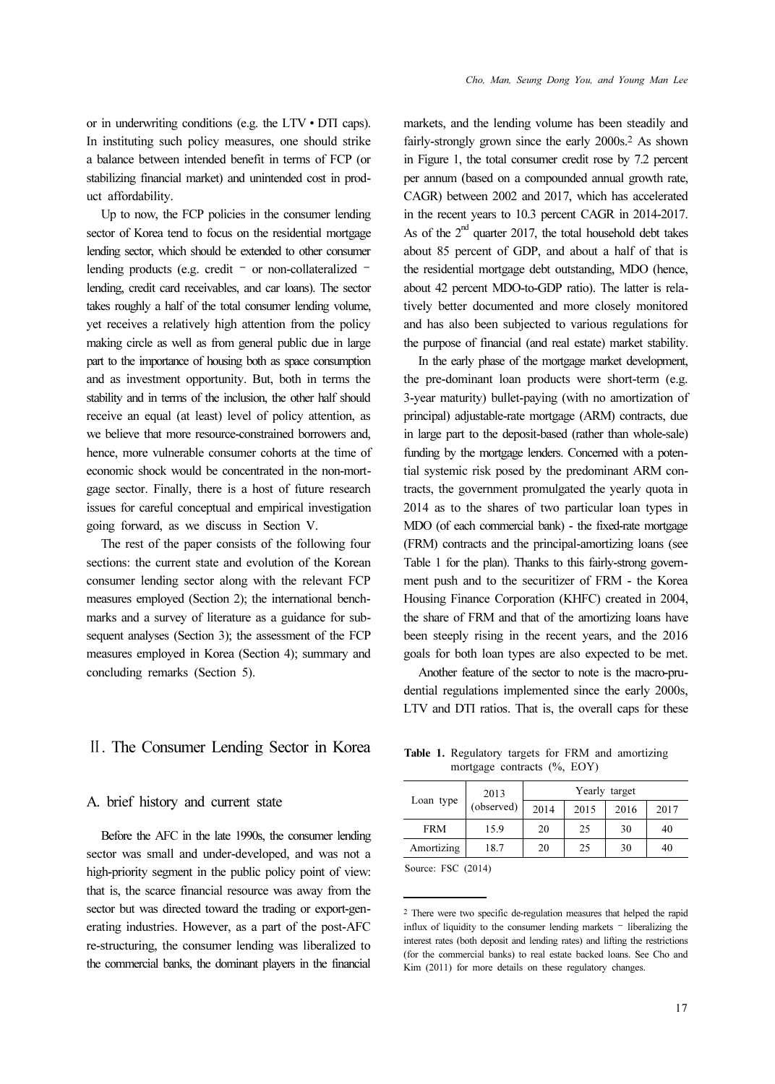or in underwriting conditions (e.g. the LTV∙DTI caps). In instituting such policy measures, one should strike a balance between intended benefit in terms of FCP (or stabilizing financial market) and unintended cost in product affordability.

Up to now, the FCP policies in the consumer lending sector of Korea tend to focus on the residential mortgage lending sector, which should be extended to other consumer lending products (e.g. credit – or non-collateralized – lending, credit card receivables, and car loans). The sector takes roughly a half of the total consumer lending volume, yet receives a relatively high attention from the policy making circle as well as from general public due in large part to the importance of housing both as space consumption and as investment opportunity. But, both in terms the stability and in terms of the inclusion, the other half should receive an equal (at least) level of policy attention, as we believe that more resource-constrained borrowers and, hence, more vulnerable consumer cohorts at the time of economic shock would be concentrated in the non-mortgage sector. Finally, there is a host of future research issues for careful conceptual and empirical investigation going forward, as we discuss in Section V.

The rest of the paper consists of the following four sections: the current state and evolution of the Korean consumer lending sector along with the relevant FCP measures employed (Section 2); the international benchmarks and a survey of literature as a guidance for subsequent analyses (Section 3); the assessment of the FCP measures employed in Korea (Section 4); summary and concluding remarks (Section 5).

## Ⅱ. The Consumer Lending Sector in Korea

#### A. brief history and current state

Before the AFC in the late 1990s, the consumer lending sector was small and under-developed, and was not a high-priority segment in the public policy point of view: that is, the scarce financial resource was away from the sector but was directed toward the trading or export-generating industries. However, as a part of the post-AFC re-structuring, the consumer lending was liberalized to the commercial banks, the dominant players in the financial markets, and the lending volume has been steadily and fairly-strongly grown since the early 2000s.<sup>2</sup> As shown in Figure 1, the total consumer credit rose by 7.2 percent per annum (based on a compounded annual growth rate, CAGR) between 2002 and 2017, which has accelerated in the recent years to 10.3 percent CAGR in 2014-2017. As of the  $2<sup>nd</sup>$  quarter 2017, the total household debt takes about 85 percent of GDP, and about a half of that is the residential mortgage debt outstanding, MDO (hence, about 42 percent MDO-to-GDP ratio). The latter is relatively better documented and more closely monitored and has also been subjected to various regulations for the purpose of financial (and real estate) market stability.

In the early phase of the mortgage market development, the pre-dominant loan products were short-term (e.g. 3-year maturity) bullet-paying (with no amortization of principal) adjustable-rate mortgage (ARM) contracts, due in large part to the deposit-based (rather than whole-sale) funding by the mortgage lenders. Concerned with a potential systemic risk posed by the predominant ARM contracts, the government promulgated the yearly quota in 2014 as to the shares of two particular loan types in MDO (of each commercial bank) - the fixed-rate mortgage (FRM) contracts and the principal-amortizing loans (see Table 1 for the plan). Thanks to this fairly-strong government push and to the securitizer of FRM - the Korea Housing Finance Corporation (KHFC) created in 2004, the share of FRM and that of the amortizing loans have been steeply rising in the recent years, and the 2016 goals for both loan types are also expected to be met.

Another feature of the sector to note is the macro-prudential regulations implemented since the early 2000s, LTV and DTI ratios. That is, the overall caps for these

Table 1. Regulatory targets for FRM and amortizing mortgage contracts (%, EOY)

|            | 2013       | Yearly target |      |      |      |
|------------|------------|---------------|------|------|------|
| Loan type  | (observed) | 2014          | 2015 | 2016 | 2017 |
| <b>FRM</b> | 15.9       | 20            | 25   | 30   | 40   |
| Amortizing | 18.7       | 20            | 25   | 30   | 40   |

Source: FSC (2014)

<sup>2</sup> There were two specific de-regulation measures that helped the rapid influx of liquidity to the consumer lending markets – liberalizing the interest rates (both deposit and lending rates) and lifting the restrictions (for the commercial banks) to real estate backed loans. See Cho and Kim (2011) for more details on these regulatory changes.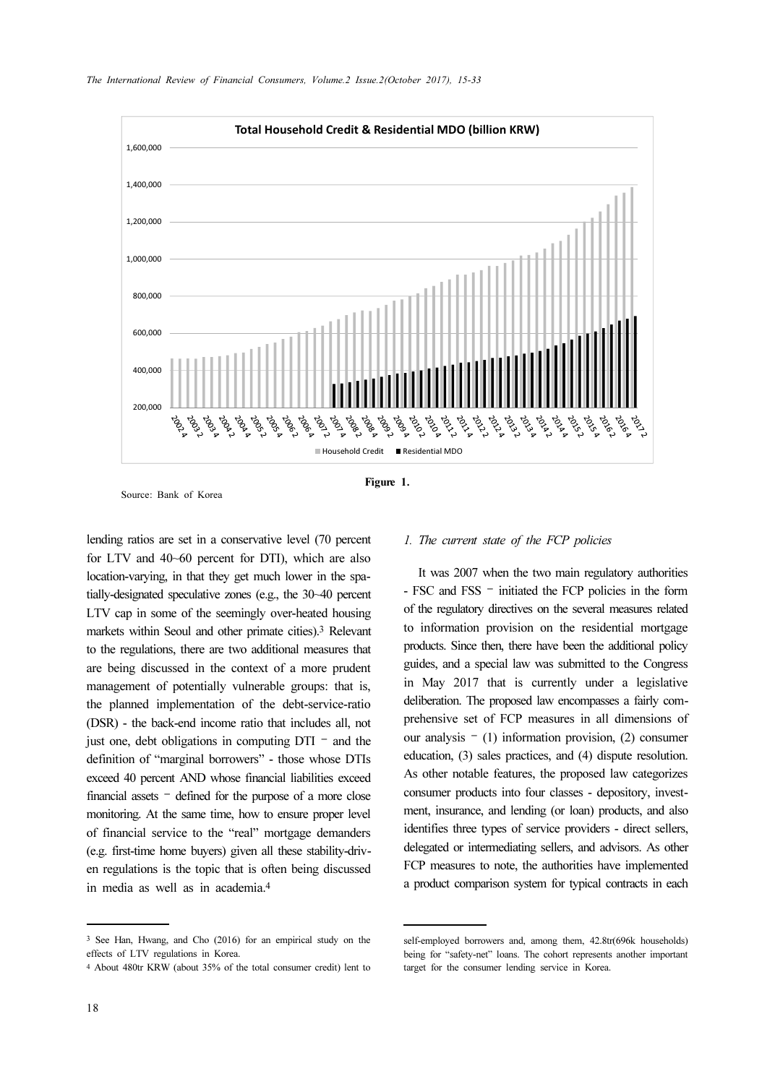

Figure 1.

Source: Bank of Korea

lending ratios are set in a conservative level (70 percent for LTV and 40~60 percent for DTI), which are also location-varying, in that they get much lower in the spatially-designated speculative zones (e.g., the 30~40 percent LTV cap in some of the seemingly over-heated housing markets within Seoul and other primate cities).3 Relevant to the regulations, there are two additional measures that are being discussed in the context of a more prudent management of potentially vulnerable groups: that is, the planned implementation of the debt-service-ratio (DSR) - the back-end income ratio that includes all, not just one, debt obligations in computing  $DTI =$  and the definition of "marginal borrowers" - those whose DTIs exceed 40 percent AND whose financial liabilities exceed financial assets – defined for the purpose of a more close monitoring. At the same time, how to ensure proper level of financial service to the "real" mortgage demanders (e.g. first-time home buyers) given all these stability-driven regulations is the topic that is often being discussed in media as well as in academia.<sup>4</sup>

#### <sup>3</sup> See Han, Hwang, and Cho (2016) for an empirical study on the effects of LTV regulations in Korea.

#### 1. The current state of the FCP policies

It was 2007 when the two main regulatory authorities - FSC and FSS – initiated the FCP policies in the form of the regulatory directives on the several measures related to information provision on the residential mortgage products. Since then, there have been the additional policy guides, and a special law was submitted to the Congress in May 2017 that is currently under a legislative deliberation. The proposed law encompasses a fairly comprehensive set of FCP measures in all dimensions of our analysis  $= (1)$  information provision, (2) consumer education, (3) sales practices, and (4) dispute resolution. As other notable features, the proposed law categorizes consumer products into four classes - depository, investment, insurance, and lending (or loan) products, and also identifies three types of service providers - direct sellers, delegated or intermediating sellers, and advisors. As other FCP measures to note, the authorities have implemented a product comparison system for typical contracts in each

<sup>4</sup> About 480tr KRW (about 35% of the total consumer credit) lent to

self-employed borrowers and, among them, 42.8tr(696k households) being for "safety-net" loans. The cohort represents another important target for the consumer lending service in Korea.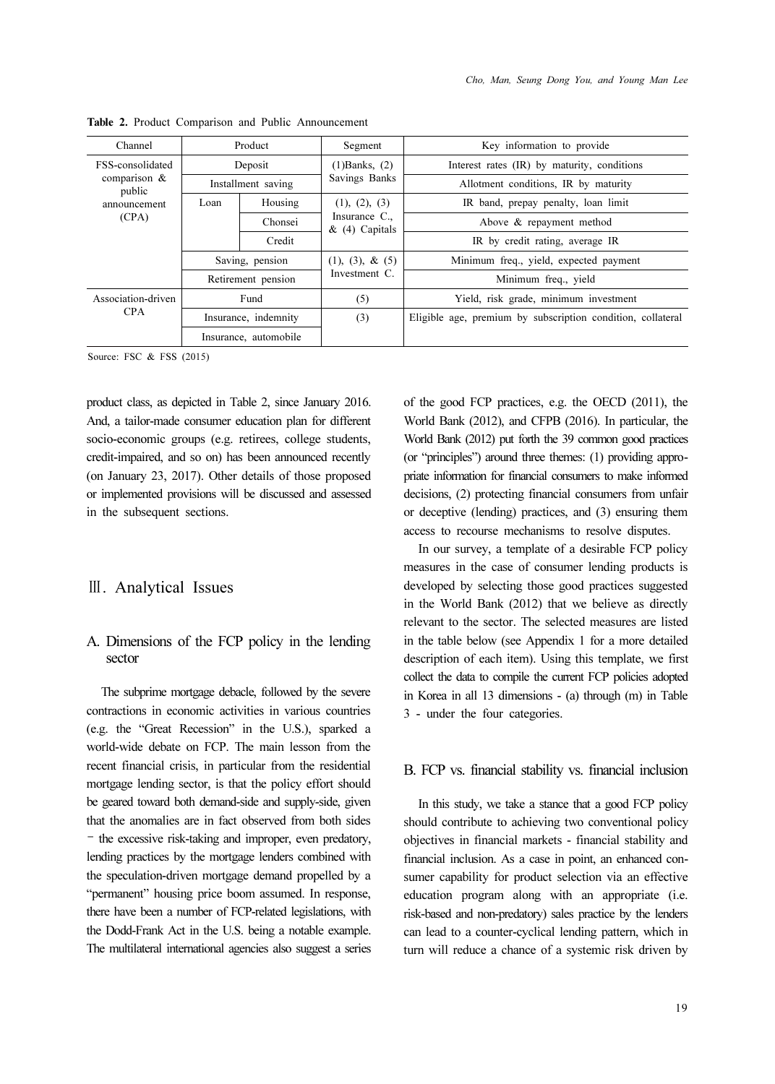| Channel                |                               | Product                         | Segment                                             | Key information to provide                                  |
|------------------------|-------------------------------|---------------------------------|-----------------------------------------------------|-------------------------------------------------------------|
| FSS-consolidated       | Deposit<br>Installment saving |                                 | $(1)$ Banks, $(2)$                                  | Interest rates (IR) by maturity, conditions                 |
| comparison &<br>public |                               |                                 | Savings Banks                                       | Allotment conditions, IR by maturity                        |
| announcement           | Loan                          | Housing                         | (1), (2), (3)<br>Insurance C.,<br>$\&$ (4) Capitals | IR band, prepay penalty, loan limit                         |
| (CPA)                  |                               | Chonsei                         |                                                     | Above & repayment method                                    |
| Credit                 |                               | IR by credit rating, average IR |                                                     |                                                             |
|                        |                               | Saving, pension                 | $(1), (3), \& (5)$                                  | Minimum freq., yield, expected payment                      |
| Retirement pension     |                               | Investment C.                   | Minimum freq., yield                                |                                                             |
| Association-driven     |                               | Fund                            | (5)                                                 | Yield, risk grade, minimum investment                       |
| <b>CPA</b>             | Insurance, indemnity          |                                 | (3)                                                 | Eligible age, premium by subscription condition, collateral |
|                        |                               | Insurance, automobile           |                                                     |                                                             |

Table 2. Product Comparison and Public Announcement

Source: FSC & FSS (2015)

product class, as depicted in Table 2, since January 2016. And, a tailor-made consumer education plan for different socio-economic groups (e.g. retirees, college students, credit-impaired, and so on) has been announced recently (on January 23, 2017). Other details of those proposed or implemented provisions will be discussed and assessed in the subsequent sections.

## Ⅲ. Analytical Issues

## A. Dimensions of the FCP policy in the lending sector

The subprime mortgage debacle, followed by the severe contractions in economic activities in various countries (e.g. the "Great Recession" in the U.S.), sparked a world-wide debate on FCP. The main lesson from the recent financial crisis, in particular from the residential mortgage lending sector, is that the policy effort should be geared toward both demand-side and supply-side, given that the anomalies are in fact observed from both sides – the excessive risk-taking and improper, even predatory, lending practices by the mortgage lenders combined with the speculation-driven mortgage demand propelled by a "permanent" housing price boom assumed. In response, there have been a number of FCP-related legislations, with the Dodd-Frank Act in the U.S. being a notable example. The multilateral international agencies also suggest a series of the good FCP practices, e.g. the OECD (2011), the World Bank (2012), and CFPB (2016). In particular, the World Bank (2012) put forth the 39 common good practices (or "principles") around three themes: (1) providing appropriate information for financial consumers to make informed decisions, (2) protecting financial consumers from unfair or deceptive (lending) practices, and (3) ensuring them access to recourse mechanisms to resolve disputes.

In our survey, a template of a desirable FCP policy measures in the case of consumer lending products is developed by selecting those good practices suggested in the World Bank (2012) that we believe as directly relevant to the sector. The selected measures are listed in the table below (see Appendix 1 for a more detailed description of each item). Using this template, we first collect the data to compile the current FCP policies adopted in Korea in all 13 dimensions - (a) through (m) in Table 3 - under the four categories.

## B. FCP vs. financial stability vs. financial inclusion

In this study, we take a stance that a good FCP policy should contribute to achieving two conventional policy objectives in financial markets - financial stability and financial inclusion. As a case in point, an enhanced consumer capability for product selection via an effective education program along with an appropriate (i.e. risk-based and non-predatory) sales practice by the lenders can lead to a counter-cyclical lending pattern, which in turn will reduce a chance of a systemic risk driven by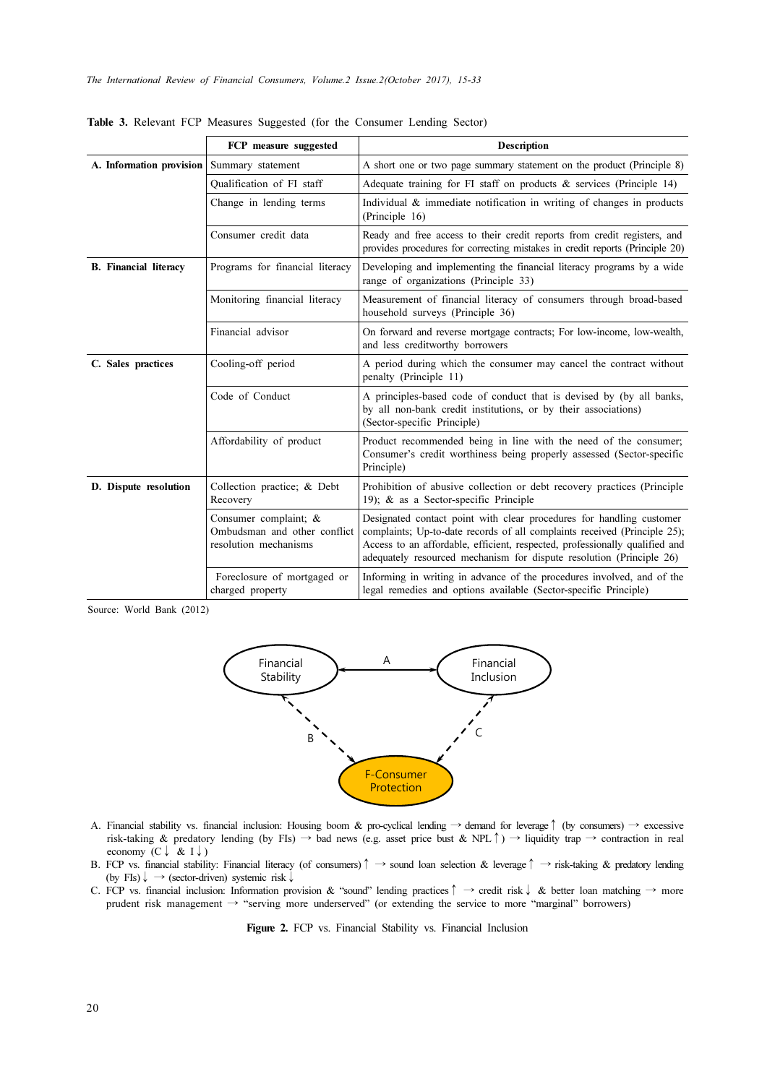|                              | FCP measure suggested                                                          | <b>Description</b>                                                                                                                                                                                                                                                                                       |
|------------------------------|--------------------------------------------------------------------------------|----------------------------------------------------------------------------------------------------------------------------------------------------------------------------------------------------------------------------------------------------------------------------------------------------------|
| A. Information provision     | Summary statement                                                              | A short one or two page summary statement on the product (Principle 8)                                                                                                                                                                                                                                   |
|                              | Oualification of FI staff                                                      | Adequate training for FI staff on products $\&$ services (Principle 14)                                                                                                                                                                                                                                  |
|                              | Change in lending terms                                                        | Individual $\&$ immediate notification in writing of changes in products<br>(Principle 16)                                                                                                                                                                                                               |
|                              | Consumer credit data                                                           | Ready and free access to their credit reports from credit registers, and<br>provides procedures for correcting mistakes in credit reports (Principle 20)                                                                                                                                                 |
| <b>B.</b> Financial literacy | Programs for financial literacy                                                | Developing and implementing the financial literacy programs by a wide<br>range of organizations (Principle 33)                                                                                                                                                                                           |
|                              | Monitoring financial literacy                                                  | Measurement of financial literacy of consumers through broad-based<br>household surveys (Principle 36)                                                                                                                                                                                                   |
|                              | Financial advisor                                                              | On forward and reverse mortgage contracts; For low-income, low-wealth,<br>and less creditworthy borrowers                                                                                                                                                                                                |
| C. Sales practices           | Cooling-off period                                                             | A period during which the consumer may cancel the contract without<br>penalty (Principle 11)                                                                                                                                                                                                             |
|                              | Code of Conduct                                                                | A principles-based code of conduct that is devised by (by all banks,<br>by all non-bank credit institutions, or by their associations)<br>(Sector-specific Principle)                                                                                                                                    |
|                              | Affordability of product                                                       | Product recommended being in line with the need of the consumer;<br>Consumer's credit worthiness being properly assessed (Sector-specific<br>Principle)                                                                                                                                                  |
| D. Dispute resolution        | Collection practice; & Debt<br>Recovery                                        | Prohibition of abusive collection or debt recovery practices (Principle<br>19); $\&$ as a Sector-specific Principle                                                                                                                                                                                      |
|                              | Consumer complaint; &<br>Ombudsman and other conflict<br>resolution mechanisms | Designated contact point with clear procedures for handling customer<br>complaints; Up-to-date records of all complaints received (Principle 25);<br>Access to an affordable, efficient, respected, professionally qualified and<br>adequately resourced mechanism for dispute resolution (Principle 26) |
|                              | Foreclosure of mortgaged or<br>charged property                                | Informing in writing in advance of the procedures involved, and of the<br>legal remedies and options available (Sector-specific Principle)                                                                                                                                                               |

Table 3. Relevant FCP Measures Suggested (for the Consumer Lending Sector)

Source: World Bank (2012)



- A. Financial stability vs. financial inclusion: Housing boom & pro-cyclical lending → demand for leverage↑ (by consumers) → excessive risk-taking & predatory lending (by FIs)  $\rightarrow$  bad news (e.g. asset price bust & NPL↑)  $\rightarrow$  liquidity trap  $\rightarrow$  contraction in real economy  $(C \downarrow \& I \downarrow)$
- B. FCP vs. financial stability: Financial literacy (of consumers)↑ → sound loan selection & leverage↑ → risk-taking & predatory lending (by FIs)  $\downarrow \rightarrow$  (sector-driven) systemic risk  $\downarrow$
- C. FCP vs. financial inclusion: Information provision & "sound" lending practices  $\uparrow \rightarrow$  credit risk ↓ & better loan matching  $\rightarrow$  more prudent risk management → "serving more underserved" (or extending the service to more "marginal" borrowers)

Figure 2. FCP vs. Financial Stability vs. Financial Inclusion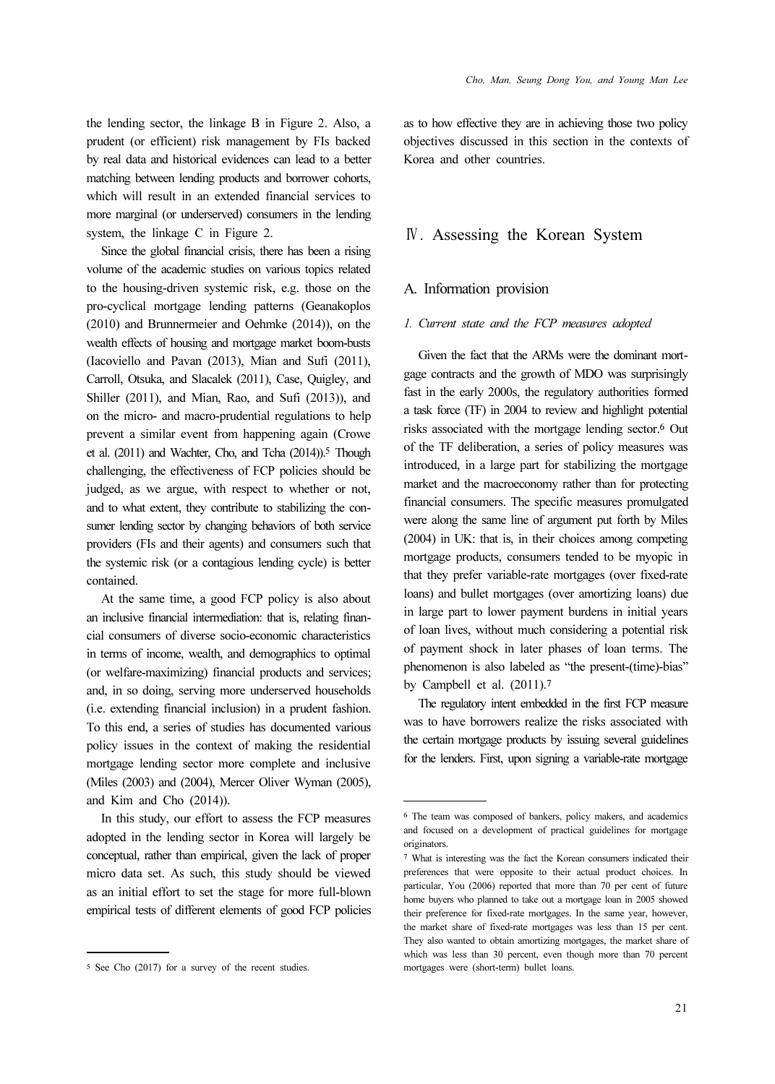the lending sector, the linkage B in Figure 2. Also, a prudent (or efficient) risk management by FIs backed by real data and historical evidences can lead to a better matching between lending products and borrower cohorts, which will result in an extended financial services to more marginal (or underserved) consumers in the lending system, the linkage C in Figure 2.

Since the global financial crisis, there has been a rising volume of the academic studies on various topics related to the housing-driven systemic risk, e.g. those on the pro-cyclical mortgage lending patterns (Geanakoplos (2010) and Brunnermeier and Oehmke (2014)), on the wealth effects of housing and mortgage market boom-busts (Iacoviello and Pavan (2013), Mian and Sufi (2011), Carroll, Otsuka, and Slacalek (2011), Case, Quigley, and Shiller (2011), and Mian, Rao, and Sufi (2013)), and on the micro- and macro-prudential regulations to help prevent a similar event from happening again (Crowe et al. (2011) and Wachter, Cho, and Tcha (2014)).<sup>5</sup> Though challenging, the effectiveness of FCP policies should be judged, as we argue, with respect to whether or not, and to what extent, they contribute to stabilizing the consumer lending sector by changing behaviors of both service providers (FIs and their agents) and consumers such that the systemic risk (or a contagious lending cycle) is better contained.

At the same time, a good FCP policy is also about an inclusive financial intermediation: that is, relating financial consumers of diverse socio-economic characteristics in terms of income, wealth, and demographics to optimal (or welfare-maximizing) financial products and services; and, in so doing, serving more underserved households (i.e. extending financial inclusion) in a prudent fashion. To this end, a series of studies has documented various policy issues in the context of making the residential mortgage lending sector more complete and inclusive (Miles (2003) and (2004), Mercer Oliver Wyman (2005), and Kim and Cho (2014)).

In this study, our effort to assess the FCP measures adopted in the lending sector in Korea will largely be conceptual, rather than empirical, given the lack of proper micro data set. As such, this study should be viewed as an initial effort to set the stage for more full-blown empirical tests of different elements of good FCP policies as to how effective they are in achieving those two policy objectives discussed in this section in the contexts of Korea and other countries.

## Ⅳ. Assessing the Korean System

## A. Information provision

#### 1. Current state and the FCP measures adopted

Given the fact that the ARMs were the dominant mortgage contracts and the growth of MDO was surprisingly fast in the early 2000s, the regulatory authorities formed a task force (TF) in 2004 to review and highlight potential risks associated with the mortgage lending sector.6 Out of the TF deliberation, a series of policy measures was introduced, in a large part for stabilizing the mortgage market and the macroeconomy rather than for protecting financial consumers. The specific measures promulgated were along the same line of argument put forth by Miles (2004) in UK: that is, in their choices among competing mortgage products, consumers tended to be myopic in that they prefer variable-rate mortgages (over fixed-rate loans) and bullet mortgages (over amortizing loans) due in large part to lower payment burdens in initial years of loan lives, without much considering a potential risk of payment shock in later phases of loan terms. The phenomenon is also labeled as "the present-(time)-bias" by Campbell et al. (2011).<sup>7</sup>

The regulatory intent embedded in the first FCP measure was to have borrowers realize the risks associated with the certain mortgage products by issuing several guidelines for the lenders. First, upon signing a variable-rate mortgage

<sup>5</sup> See Cho (2017) for a survey of the recent studies.

<sup>6</sup> The team was composed of bankers, policy makers, and academics and focused on a development of practical guidelines for mortgage originators.

<sup>7</sup> What is interesting was the fact the Korean consumers indicated their preferences that were opposite to their actual product choices. In particular, You (2006) reported that more than 70 per cent of future home buyers who planned to take out a mortgage loan in 2005 showed their preference for fixed-rate mortgages. In the same year, however, the market share of fixed-rate mortgages was less than 15 per cent. They also wanted to obtain amortizing mortgages, the market share of which was less than 30 percent, even though more than 70 percent mortgages were (short-term) bullet loans.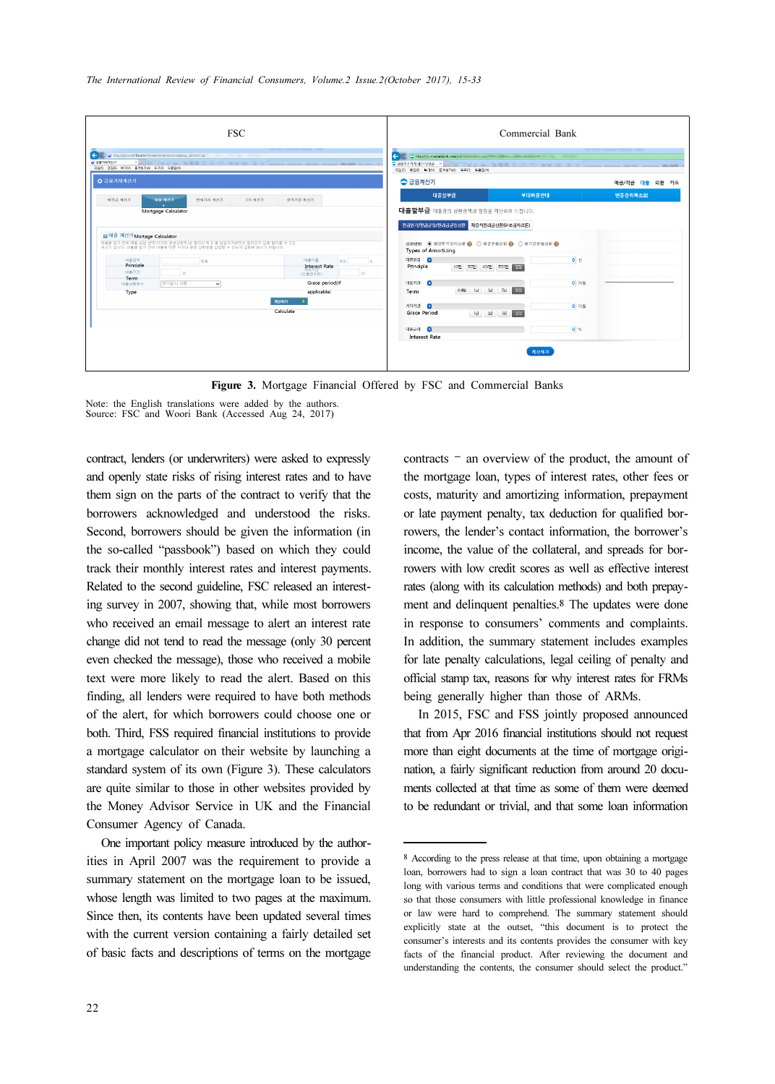



Note: the English translations were added by the authors. Source: FSC and Woori Bank (Accessed Aug 24, 2017)

contract, lenders (or underwriters) were asked to expressly and openly state risks of rising interest rates and to have them sign on the parts of the contract to verify that the borrowers acknowledged and understood the risks. Second, borrowers should be given the information (in the so-called "passbook") based on which they could track their monthly interest rates and interest payments. Related to the second guideline, FSC released an interesting survey in 2007, showing that, while most borrowers who received an email message to alert an interest rate change did not tend to read the message (only 30 percent even checked the message), those who received a mobile text were more likely to read the alert. Based on this finding, all lenders were required to have both methods of the alert, for which borrowers could choose one or both. Third, FSS required financial institutions to provide a mortgage calculator on their website by launching a standard system of its own (Figure 3). These calculators are quite similar to those in other websites provided by the Money Advisor Service in UK and the Financial Consumer Agency of Canada.

One important policy measure introduced by the authorities in April 2007 was the requirement to provide a summary statement on the mortgage loan to be issued, whose length was limited to two pages at the maximum. Since then, its contents have been updated several times with the current version containing a fairly detailed set of basic facts and descriptions of terms on the mortgage contracts – an overview of the product, the amount of the mortgage loan, types of interest rates, other fees or costs, maturity and amortizing information, prepayment or late payment penalty, tax deduction for qualified borrowers, the lender's contact information, the borrower's income, the value of the collateral, and spreads for borrowers with low credit scores as well as effective interest rates (along with its calculation methods) and both prepayment and delinquent penalties.8 The updates were done in response to consumers' comments and complaints. In addition, the summary statement includes examples for late penalty calculations, legal ceiling of penalty and official stamp tax, reasons for why interest rates for FRMs being generally higher than those of ARMs.

In 2015, FSC and FSS jointly proposed announced that from Apr 2016 financial institutions should not request more than eight documents at the time of mortgage origination, a fairly significant reduction from around 20 documents collected at that time as some of them were deemed to be redundant or trivial, and that some loan information

<sup>8</sup> According to the press release at that time, upon obtaining a mortgage loan, borrowers had to sign a loan contract that was 30 to 40 pages long with various terms and conditions that were complicated enough so that those consumers with little professional knowledge in finance or law were hard to comprehend. The summary statement should explicitly state at the outset, "this document is to protect the consumer's interests and its contents provides the consumer with key facts of the financial product. After reviewing the document and understanding the contents, the consumer should select the product."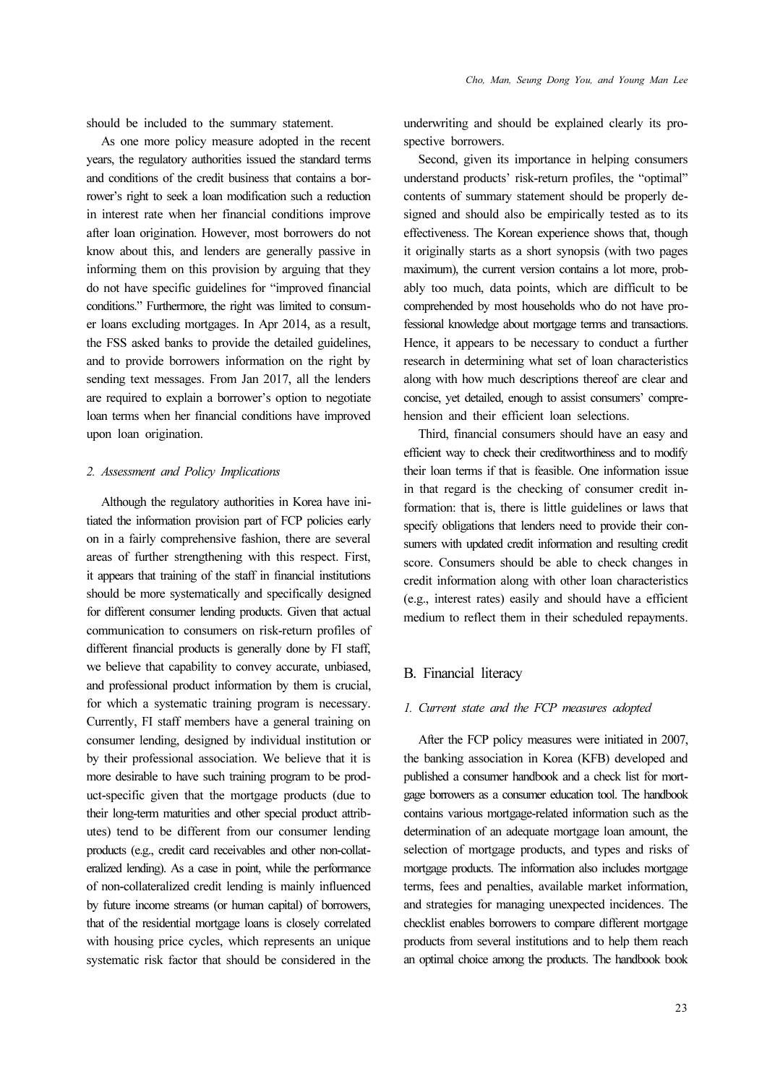should be included to the summary statement.

As one more policy measure adopted in the recent years, the regulatory authorities issued the standard terms and conditions of the credit business that contains a borrower's right to seek a loan modification such a reduction in interest rate when her financial conditions improve after loan origination. However, most borrowers do not know about this, and lenders are generally passive in informing them on this provision by arguing that they do not have specific guidelines for "improved financial conditions." Furthermore, the right was limited to consumer loans excluding mortgages. In Apr 2014, as a result, the FSS asked banks to provide the detailed guidelines, and to provide borrowers information on the right by sending text messages. From Jan 2017, all the lenders are required to explain a borrower's option to negotiate loan terms when her financial conditions have improved upon loan origination.

#### 2. Assessment and Policy Implications

Although the regulatory authorities in Korea have initiated the information provision part of FCP policies early on in a fairly comprehensive fashion, there are several areas of further strengthening with this respect. First, it appears that training of the staff in financial institutions should be more systematically and specifically designed for different consumer lending products. Given that actual communication to consumers on risk-return profiles of different financial products is generally done by FI staff, we believe that capability to convey accurate, unbiased, and professional product information by them is crucial, for which a systematic training program is necessary. Currently, FI staff members have a general training on consumer lending, designed by individual institution or by their professional association. We believe that it is more desirable to have such training program to be product-specific given that the mortgage products (due to their long-term maturities and other special product attributes) tend to be different from our consumer lending products (e.g., credit card receivables and other non-collateralized lending). As a case in point, while the performance of non-collateralized credit lending is mainly influenced by future income streams (or human capital) of borrowers, that of the residential mortgage loans is closely correlated with housing price cycles, which represents an unique systematic risk factor that should be considered in the underwriting and should be explained clearly its prospective borrowers.

Second, given its importance in helping consumers understand products' risk-return profiles, the "optimal" contents of summary statement should be properly designed and should also be empirically tested as to its effectiveness. The Korean experience shows that, though it originally starts as a short synopsis (with two pages maximum), the current version contains a lot more, probably too much, data points, which are difficult to be comprehended by most households who do not have professional knowledge about mortgage terms and transactions. Hence, it appears to be necessary to conduct a further research in determining what set of loan characteristics along with how much descriptions thereof are clear and concise, yet detailed, enough to assist consumers' comprehension and their efficient loan selections.

Third, financial consumers should have an easy and efficient way to check their creditworthiness and to modify their loan terms if that is feasible. One information issue in that regard is the checking of consumer credit information: that is, there is little guidelines or laws that specify obligations that lenders need to provide their consumers with updated credit information and resulting credit score. Consumers should be able to check changes in credit information along with other loan characteristics (e.g., interest rates) easily and should have a efficient medium to reflect them in their scheduled repayments.

### B. Financial literacy

#### 1. Current state and the FCP measures adopted

After the FCP policy measures were initiated in 2007, the banking association in Korea (KFB) developed and published a consumer handbook and a check list for mortgage borrowers as a consumer education tool. The handbook contains various mortgage-related information such as the determination of an adequate mortgage loan amount, the selection of mortgage products, and types and risks of mortgage products. The information also includes mortgage terms, fees and penalties, available market information, and strategies for managing unexpected incidences. The checklist enables borrowers to compare different mortgage products from several institutions and to help them reach an optimal choice among the products. The handbook book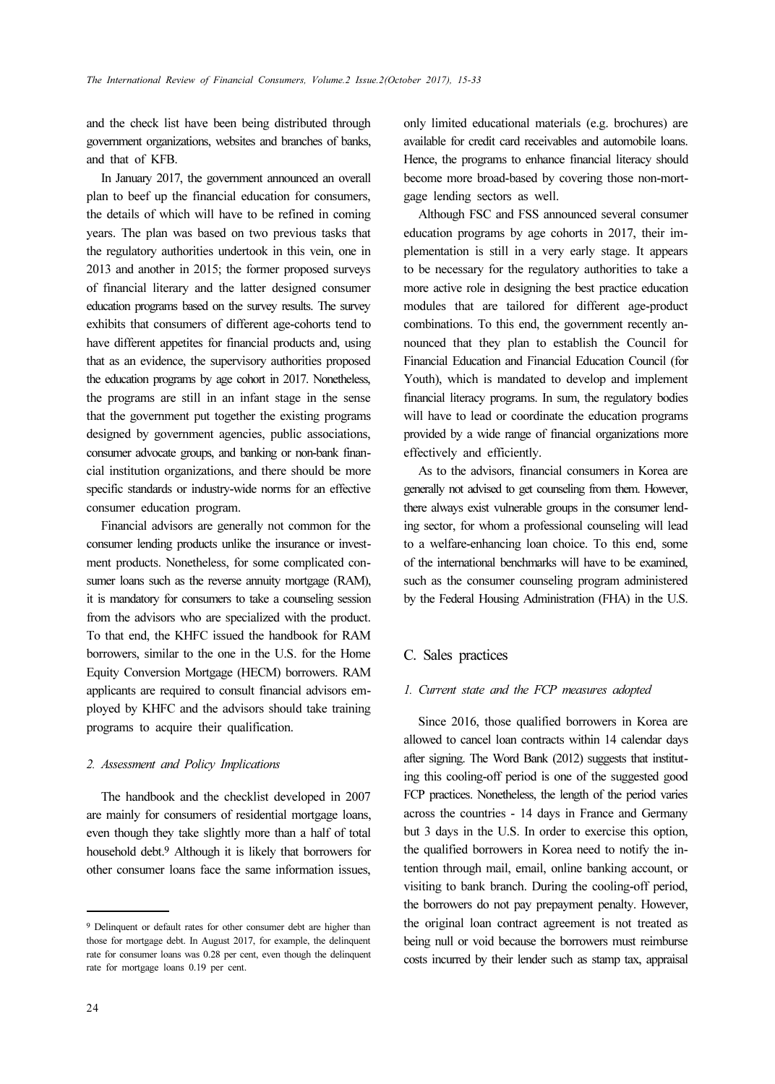and the check list have been being distributed through government organizations, websites and branches of banks, and that of KFB.

In January 2017, the government announced an overall plan to beef up the financial education for consumers, the details of which will have to be refined in coming years. The plan was based on two previous tasks that the regulatory authorities undertook in this vein, one in 2013 and another in 2015; the former proposed surveys of financial literary and the latter designed consumer education programs based on the survey results. The survey exhibits that consumers of different age-cohorts tend to have different appetites for financial products and, using that as an evidence, the supervisory authorities proposed the education programs by age cohort in 2017. Nonetheless, the programs are still in an infant stage in the sense that the government put together the existing programs designed by government agencies, public associations, consumer advocate groups, and banking or non-bank financial institution organizations, and there should be more specific standards or industry-wide norms for an effective consumer education program.

Financial advisors are generally not common for the consumer lending products unlike the insurance or investment products. Nonetheless, for some complicated consumer loans such as the reverse annuity mortgage (RAM), it is mandatory for consumers to take a counseling session from the advisors who are specialized with the product. To that end, the KHFC issued the handbook for RAM borrowers, similar to the one in the U.S. for the Home Equity Conversion Mortgage (HECM) borrowers. RAM applicants are required to consult financial advisors employed by KHFC and the advisors should take training programs to acquire their qualification.

#### 2. Assessment and Policy Implications

The handbook and the checklist developed in 2007 are mainly for consumers of residential mortgage loans, even though they take slightly more than a half of total household debt.<sup>9</sup> Although it is likely that borrowers for other consumer loans face the same information issues,

only limited educational materials (e.g. brochures) are available for credit card receivables and automobile loans. Hence, the programs to enhance financial literacy should become more broad-based by covering those non-mortgage lending sectors as well.

Although FSC and FSS announced several consumer education programs by age cohorts in 2017, their implementation is still in a very early stage. It appears to be necessary for the regulatory authorities to take a more active role in designing the best practice education modules that are tailored for different age-product combinations. To this end, the government recently announced that they plan to establish the Council for Financial Education and Financial Education Council (for Youth), which is mandated to develop and implement financial literacy programs. In sum, the regulatory bodies will have to lead or coordinate the education programs provided by a wide range of financial organizations more effectively and efficiently.

As to the advisors, financial consumers in Korea are generally not advised to get counseling from them. However, there always exist vulnerable groups in the consumer lending sector, for whom a professional counseling will lead to a welfare-enhancing loan choice. To this end, some of the international benchmarks will have to be examined, such as the consumer counseling program administered by the Federal Housing Administration (FHA) in the U.S.

### C. Sales practices

#### 1. Current state and the FCP measures adopted

Since 2016, those qualified borrowers in Korea are allowed to cancel loan contracts within 14 calendar days after signing. The Word Bank (2012) suggests that instituting this cooling-off period is one of the suggested good FCP practices. Nonetheless, the length of the period varies across the countries - 14 days in France and Germany but 3 days in the U.S. In order to exercise this option, the qualified borrowers in Korea need to notify the intention through mail, email, online banking account, or visiting to bank branch. During the cooling-off period, the borrowers do not pay prepayment penalty. However, the original loan contract agreement is not treated as being null or void because the borrowers must reimburse costs incurred by their lender such as stamp tax, appraisal

<sup>&</sup>lt;sup>9</sup> Delinquent or default rates for other consumer debt are higher than those for mortgage debt. In August 2017, for example, the delinquent rate for consumer loans was 0.28 per cent, even though the delinquent rate for mortgage loans 0.19 per cent.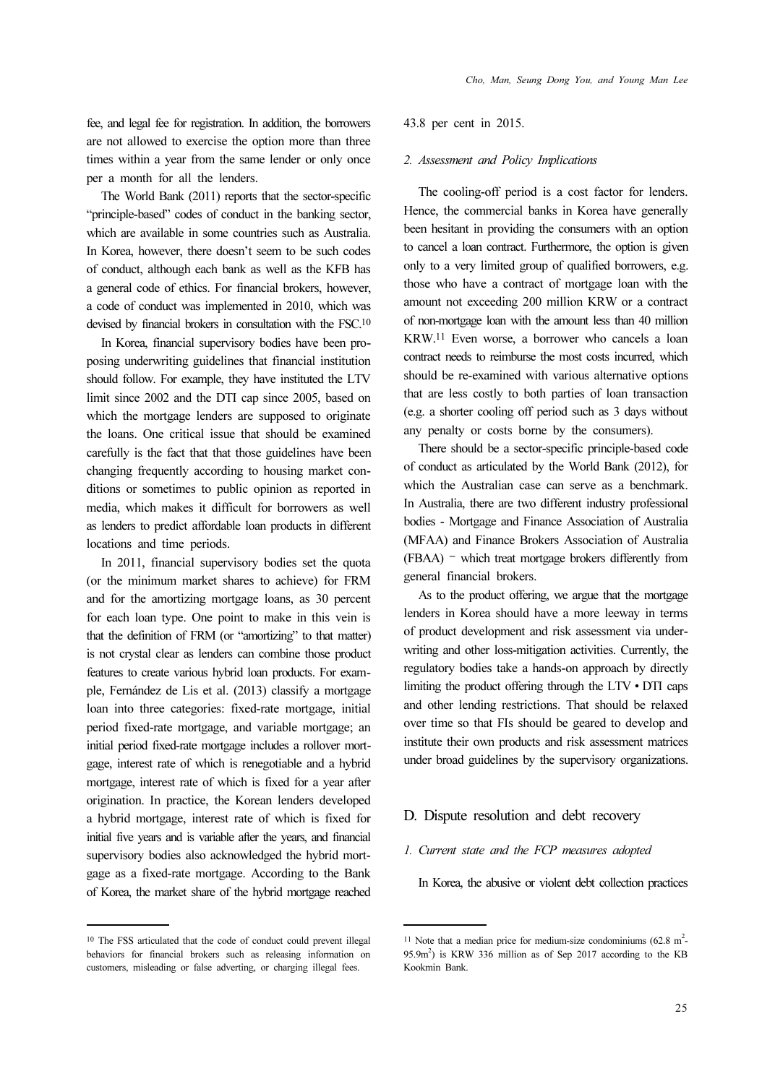fee, and legal fee for registration. In addition, the borrowers are not allowed to exercise the option more than three times within a year from the same lender or only once per a month for all the lenders.

The World Bank (2011) reports that the sector-specific "principle-based" codes of conduct in the banking sector, which are available in some countries such as Australia. In Korea, however, there doesn't seem to be such codes of conduct, although each bank as well as the KFB has a general code of ethics. For financial brokers, however, a code of conduct was implemented in 2010, which was devised by financial brokers in consultation with the FSC.<sup>10</sup>

In Korea, financial supervisory bodies have been proposing underwriting guidelines that financial institution should follow. For example, they have instituted the LTV limit since 2002 and the DTI cap since 2005, based on which the mortgage lenders are supposed to originate the loans. One critical issue that should be examined carefully is the fact that that those guidelines have been changing frequently according to housing market conditions or sometimes to public opinion as reported in media, which makes it difficult for borrowers as well as lenders to predict affordable loan products in different locations and time periods.

In 2011, financial supervisory bodies set the quota (or the minimum market shares to achieve) for FRM and for the amortizing mortgage loans, as 30 percent for each loan type. One point to make in this vein is that the definition of FRM (or "amortizing" to that matter) is not crystal clear as lenders can combine those product features to create various hybrid loan products. For example, Fernández de Lis et al. (2013) classify a mortgage loan into three categories: fixed-rate mortgage, initial period fixed-rate mortgage, and variable mortgage; an initial period fixed-rate mortgage includes a rollover mortgage, interest rate of which is renegotiable and a hybrid mortgage, interest rate of which is fixed for a year after origination. In practice, the Korean lenders developed a hybrid mortgage, interest rate of which is fixed for initial five years and is variable after the years, and financial supervisory bodies also acknowledged the hybrid mortgage as a fixed-rate mortgage. According to the Bank of Korea, the market share of the hybrid mortgage reached

#### 43.8 per cent in 2015.

#### 2. Assessment and Policy Implications

The cooling-off period is a cost factor for lenders. Hence, the commercial banks in Korea have generally been hesitant in providing the consumers with an option to cancel a loan contract. Furthermore, the option is given only to a very limited group of qualified borrowers, e.g. those who have a contract of mortgage loan with the amount not exceeding 200 million KRW or a contract of non-mortgage loan with the amount less than 40 million KRW.11 Even worse, a borrower who cancels a loan contract needs to reimburse the most costs incurred, which should be re-examined with various alternative options that are less costly to both parties of loan transaction (e.g. a shorter cooling off period such as 3 days without any penalty or costs borne by the consumers).

There should be a sector-specific principle-based code of conduct as articulated by the World Bank (2012), for which the Australian case can serve as a benchmark. In Australia, there are two different industry professional bodies - Mortgage and Finance Association of Australia (MFAA) and Finance Brokers Association of Australia (FBAA) – which treat mortgage brokers differently from general financial brokers.

As to the product offering, we argue that the mortgage lenders in Korea should have a more leeway in terms of product development and risk assessment via underwriting and other loss-mitigation activities. Currently, the regulatory bodies take a hands-on approach by directly limiting the product offering through the LTV∙DTI caps and other lending restrictions. That should be relaxed over time so that FIs should be geared to develop and institute their own products and risk assessment matrices under broad guidelines by the supervisory organizations.

#### D. Dispute resolution and debt recovery

### 1. Current state and the FCP measures adopted

In Korea, the abusive or violent debt collection practices

<sup>10</sup> The FSS articulated that the code of conduct could prevent illegal behaviors for financial brokers such as releasing information on customers, misleading or false adverting, or charging illegal fees.

<sup>&</sup>lt;sup>11</sup> Note that a median price for medium-size condominiums  $(62.8 \text{ m}^2 -$ 95.9m<sup>2</sup>) is KRW 336 million as of Sep 2017 according to the KB Kookmin Bank.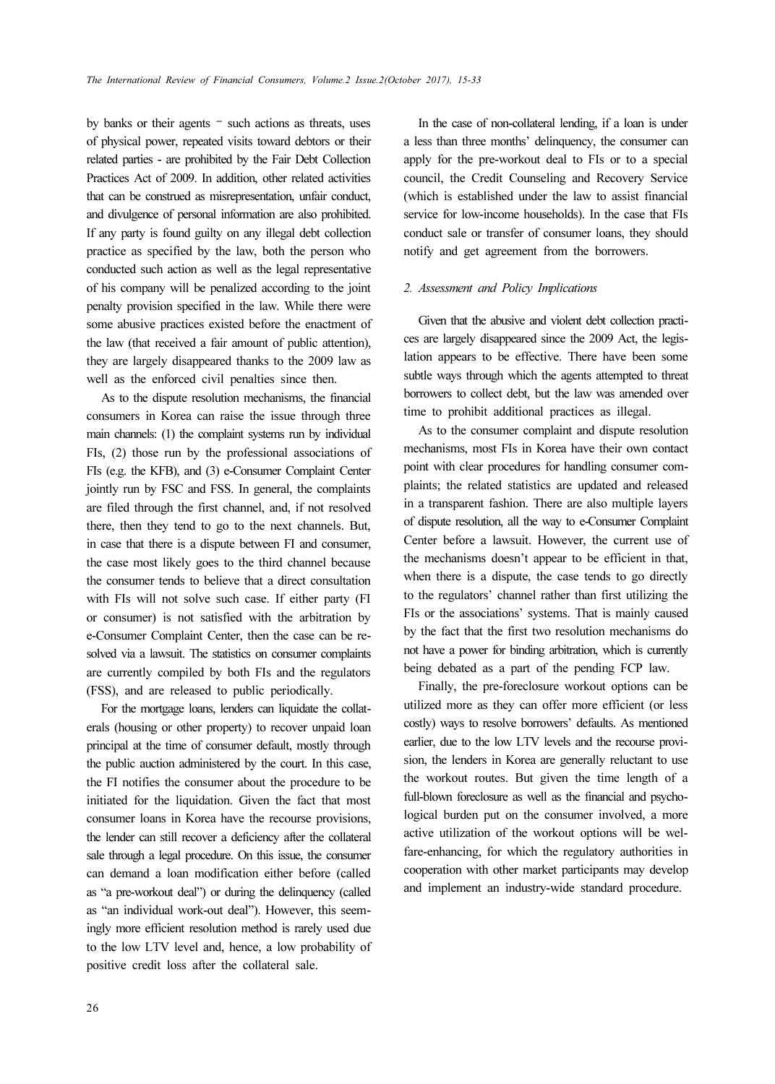by banks or their agents – such actions as threats, uses of physical power, repeated visits toward debtors or their related parties - are prohibited by the Fair Debt Collection Practices Act of 2009. In addition, other related activities that can be construed as misrepresentation, unfair conduct, and divulgence of personal information are also prohibited. If any party is found guilty on any illegal debt collection practice as specified by the law, both the person who conducted such action as well as the legal representative of his company will be penalized according to the joint penalty provision specified in the law. While there were some abusive practices existed before the enactment of the law (that received a fair amount of public attention), they are largely disappeared thanks to the 2009 law as well as the enforced civil penalties since then.

As to the dispute resolution mechanisms, the financial consumers in Korea can raise the issue through three main channels: (1) the complaint systems run by individual FIs, (2) those run by the professional associations of FIs (e.g. the KFB), and (3) e-Consumer Complaint Center jointly run by FSC and FSS. In general, the complaints are filed through the first channel, and, if not resolved there, then they tend to go to the next channels. But, in case that there is a dispute between FI and consumer, the case most likely goes to the third channel because the consumer tends to believe that a direct consultation with FIs will not solve such case. If either party (FI or consumer) is not satisfied with the arbitration by e-Consumer Complaint Center, then the case can be resolved via a lawsuit. The statistics on consumer complaints are currently compiled by both FIs and the regulators (FSS), and are released to public periodically.

For the mortgage loans, lenders can liquidate the collaterals (housing or other property) to recover unpaid loan principal at the time of consumer default, mostly through the public auction administered by the court. In this case, the FI notifies the consumer about the procedure to be initiated for the liquidation. Given the fact that most consumer loans in Korea have the recourse provisions, the lender can still recover a deficiency after the collateral sale through a legal procedure. On this issue, the consumer can demand a loan modification either before (called as "a pre-workout deal") or during the delinquency (called as "an individual work-out deal"). However, this seemingly more efficient resolution method is rarely used due to the low LTV level and, hence, a low probability of positive credit loss after the collateral sale.

In the case of non-collateral lending, if a loan is under a less than three months' delinquency, the consumer can apply for the pre-workout deal to FIs or to a special council, the Credit Counseling and Recovery Service (which is established under the law to assist financial service for low-income households). In the case that FIs conduct sale or transfer of consumer loans, they should notify and get agreement from the borrowers.

### 2. Assessment and Policy Implications

Given that the abusive and violent debt collection practices are largely disappeared since the 2009 Act, the legislation appears to be effective. There have been some subtle ways through which the agents attempted to threat borrowers to collect debt, but the law was amended over time to prohibit additional practices as illegal.

As to the consumer complaint and dispute resolution mechanisms, most FIs in Korea have their own contact point with clear procedures for handling consumer complaints; the related statistics are updated and released in a transparent fashion. There are also multiple layers of dispute resolution, all the way to e-Consumer Complaint Center before a lawsuit. However, the current use of the mechanisms doesn't appear to be efficient in that, when there is a dispute, the case tends to go directly to the regulators' channel rather than first utilizing the FIs or the associations' systems. That is mainly caused by the fact that the first two resolution mechanisms do not have a power for binding arbitration, which is currently being debated as a part of the pending FCP law.

Finally, the pre-foreclosure workout options can be utilized more as they can offer more efficient (or less costly) ways to resolve borrowers' defaults. As mentioned earlier, due to the low LTV levels and the recourse provision, the lenders in Korea are generally reluctant to use the workout routes. But given the time length of a full-blown foreclosure as well as the financial and psychological burden put on the consumer involved, a more active utilization of the workout options will be welfare-enhancing, for which the regulatory authorities in cooperation with other market participants may develop and implement an industry-wide standard procedure.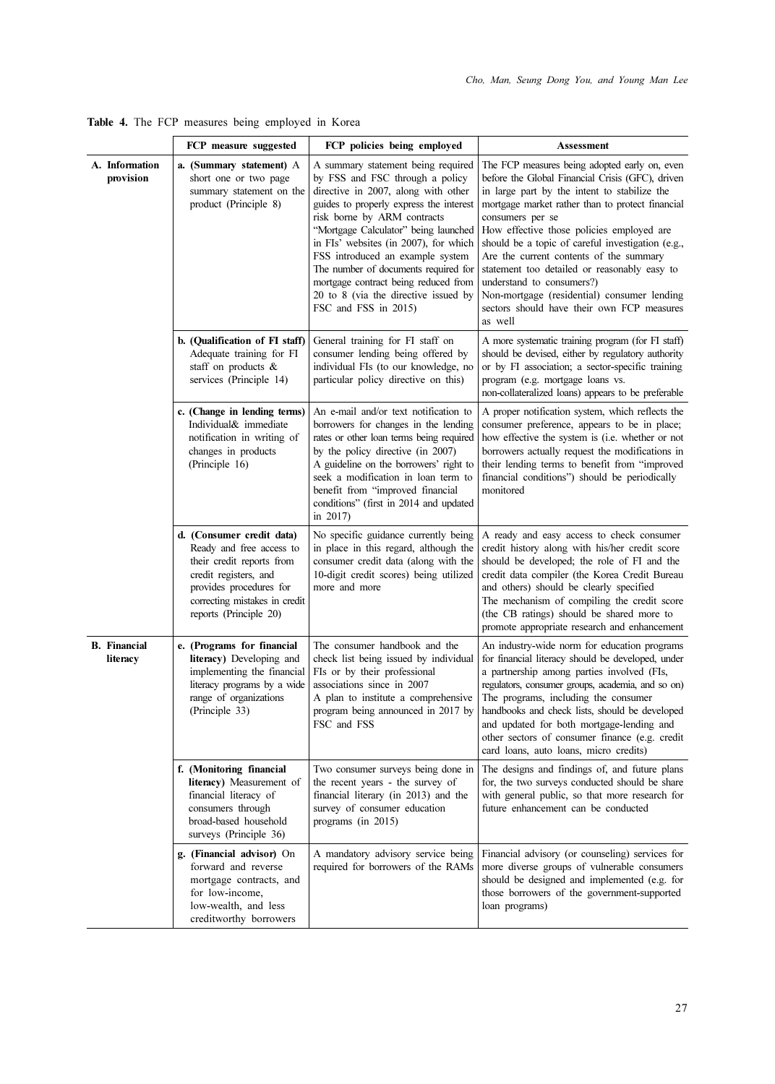|                                 | FCP measure suggested                                                                                                                                                                             | FCP policies being employed                                                                                                                                                                                                                                                                                                                                                                                                                                 | <b>Assessment</b>                                                                                                                                                                                                                                                                                                                                                                                                                                                                                                                                           |
|---------------------------------|---------------------------------------------------------------------------------------------------------------------------------------------------------------------------------------------------|-------------------------------------------------------------------------------------------------------------------------------------------------------------------------------------------------------------------------------------------------------------------------------------------------------------------------------------------------------------------------------------------------------------------------------------------------------------|-------------------------------------------------------------------------------------------------------------------------------------------------------------------------------------------------------------------------------------------------------------------------------------------------------------------------------------------------------------------------------------------------------------------------------------------------------------------------------------------------------------------------------------------------------------|
| A. Information<br>provision     | a. (Summary statement) A<br>short one or two page<br>summary statement on the<br>product (Principle 8)                                                                                            | A summary statement being required<br>by FSS and FSC through a policy<br>directive in 2007, along with other<br>guides to properly express the interest<br>risk borne by ARM contracts<br>"Mortgage Calculator" being launched<br>in FIs' websites (in 2007), for which<br>FSS introduced an example system<br>The number of documents required for<br>mortgage contract being reduced from<br>20 to 8 (via the directive issued by<br>FSC and FSS in 2015) | The FCP measures being adopted early on, even<br>before the Global Financial Crisis (GFC), driven<br>in large part by the intent to stabilize the<br>mortgage market rather than to protect financial<br>consumers per se<br>How effective those policies employed are<br>should be a topic of careful investigation (e.g.,<br>Are the current contents of the summary<br>statement too detailed or reasonably easy to<br>understand to consumers?)<br>Non-mortgage (residential) consumer lending<br>sectors should have their own FCP measures<br>as well |
|                                 | b. (Qualification of FI staff)<br>Adequate training for FI<br>staff on products $\&$<br>services (Principle 14)                                                                                   | General training for FI staff on<br>consumer lending being offered by<br>individual FIs (to our knowledge, no<br>particular policy directive on this)                                                                                                                                                                                                                                                                                                       | A more systematic training program (for FI staff)<br>should be devised, either by regulatory authority<br>or by FI association; a sector-specific training<br>program (e.g. mortgage loans vs.<br>non-collateralized loans) appears to be preferable                                                                                                                                                                                                                                                                                                        |
|                                 | c. (Change in lending terms)<br>Individual& immediate<br>notification in writing of<br>changes in products<br>(Principle 16)                                                                      | An e-mail and/or text notification to<br>borrowers for changes in the lending<br>rates or other loan terms being required<br>by the policy directive (in 2007)<br>A guideline on the borrowers' right to<br>seek a modification in loan term to<br>benefit from "improved financial<br>conditions" (first in 2014 and updated<br>in $2017$ )                                                                                                                | A proper notification system, which reflects the<br>consumer preference, appears to be in place;<br>how effective the system is (i.e. whether or not<br>borrowers actually request the modifications in<br>their lending terms to benefit from "improved<br>financial conditions") should be periodically<br>monitored                                                                                                                                                                                                                                      |
|                                 | d. (Consumer credit data)<br>Ready and free access to<br>their credit reports from<br>credit registers, and<br>provides procedures for<br>correcting mistakes in credit<br>reports (Principle 20) | No specific guidance currently being<br>in place in this regard, although the<br>consumer credit data (along with the<br>10-digit credit scores) being utilized<br>more and more                                                                                                                                                                                                                                                                            | A ready and easy access to check consumer<br>credit history along with his/her credit score<br>should be developed; the role of FI and the<br>credit data compiler (the Korea Credit Bureau<br>and others) should be clearly specified<br>The mechanism of compiling the credit score<br>(the CB ratings) should be shared more to<br>promote appropriate research and enhancement                                                                                                                                                                          |
| <b>B.</b> Financial<br>literacy | e. (Programs for financial<br>literacy) Developing and<br>implementing the financial<br>literacy programs by a wide<br>range of organizations<br>(Principle 33)                                   | The consumer handbook and the<br>check list being issued by individual<br>FIs or by their professional<br>associations since in 2007<br>A plan to institute a comprehensive<br>program being announced in 2017 by<br>FSC and FSS                                                                                                                                                                                                                            | An industry-wide norm for education programs<br>for financial literacy should be developed, under<br>a partnership among parties involved (FIs,<br>regulators, consumer groups, academia, and so on)<br>The programs, including the consumer<br>handbooks and check lists, should be developed<br>and updated for both mortgage-lending and<br>other sectors of consumer finance (e.g. credit<br>card loans, auto loans, micro credits)                                                                                                                     |
|                                 | f. (Monitoring financial<br>literacy) Measurement of<br>financial literacy of<br>consumers through<br>broad-based household<br>surveys (Principle 36)                                             | Two consumer surveys being done in<br>the recent years - the survey of<br>financial literary (in 2013) and the<br>survey of consumer education<br>programs (in 2015)                                                                                                                                                                                                                                                                                        | The designs and findings of, and future plans<br>for, the two surveys conducted should be share<br>with general public, so that more research for<br>future enhancement can be conducted                                                                                                                                                                                                                                                                                                                                                                    |
|                                 | <b>g. (Financial advisor)</b> On<br>forward and reverse<br>mortgage contracts, and<br>for low-income,<br>low-wealth, and less<br>creditworthy borrowers                                           | A mandatory advisory service being<br>required for borrowers of the RAMs                                                                                                                                                                                                                                                                                                                                                                                    | Financial advisory (or counseling) services for<br>more diverse groups of vulnerable consumers<br>should be designed and implemented (e.g. for<br>those borrowers of the government-supported<br>loan programs)                                                                                                                                                                                                                                                                                                                                             |

Table 4. The FCP measures being employed in Korea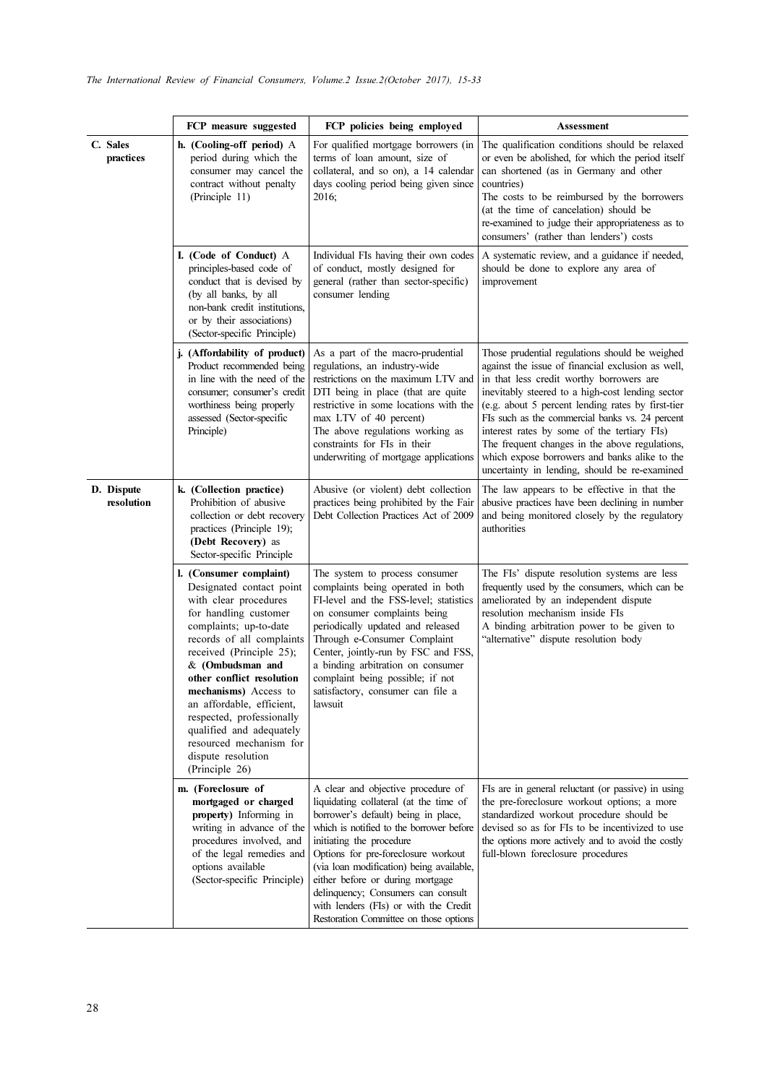|                          | FCP measure suggested                                                                                                                                                                                                                                                                                                                                                                                                       | FCP policies being employed                                                                                                                                                                                                                                                                                                                                                                                                                 | <b>Assessment</b>                                                                                                                                                                                                                                                                                                                                                                                                                                                                                              |
|--------------------------|-----------------------------------------------------------------------------------------------------------------------------------------------------------------------------------------------------------------------------------------------------------------------------------------------------------------------------------------------------------------------------------------------------------------------------|---------------------------------------------------------------------------------------------------------------------------------------------------------------------------------------------------------------------------------------------------------------------------------------------------------------------------------------------------------------------------------------------------------------------------------------------|----------------------------------------------------------------------------------------------------------------------------------------------------------------------------------------------------------------------------------------------------------------------------------------------------------------------------------------------------------------------------------------------------------------------------------------------------------------------------------------------------------------|
| C. Sales<br>practices    | h. (Cooling-off period) A<br>period during which the<br>consumer may cancel the<br>contract without penalty<br>(Principle 11)                                                                                                                                                                                                                                                                                               | For qualified mortgage borrowers (in<br>terms of loan amount, size of<br>collateral, and so on), a 14 calendar<br>days cooling period being given since<br>2016;                                                                                                                                                                                                                                                                            | The qualification conditions should be relaxed<br>or even be abolished, for which the period itself<br>can shortened (as in Germany and other<br>countries)<br>The costs to be reimbursed by the borrowers<br>(at the time of cancelation) should be<br>re-examined to judge their appropriateness as to<br>consumers' (rather than lenders') costs                                                                                                                                                            |
|                          | I. (Code of Conduct) A<br>principles-based code of<br>conduct that is devised by<br>(by all banks, by all<br>non-bank credit institutions,<br>or by their associations)<br>(Sector-specific Principle)                                                                                                                                                                                                                      | Individual FIs having their own codes<br>of conduct, mostly designed for<br>general (rather than sector-specific)<br>consumer lending                                                                                                                                                                                                                                                                                                       | A systematic review, and a guidance if needed,<br>should be done to explore any area of<br>improvement                                                                                                                                                                                                                                                                                                                                                                                                         |
|                          | j. (Affordability of product)<br>Product recommended being<br>in line with the need of the<br>consumer; consumer's credit<br>worthiness being properly<br>assessed (Sector-specific<br>Principle)                                                                                                                                                                                                                           | As a part of the macro-prudential<br>regulations, an industry-wide<br>restrictions on the maximum LTV and<br>DTI being in place (that are quite<br>restrictive in some locations with the<br>max LTV of 40 percent)<br>The above regulations working as<br>constraints for FIs in their<br>underwriting of mortgage applications                                                                                                            | Those prudential regulations should be weighed<br>against the issue of financial exclusion as well,<br>in that less credit worthy borrowers are<br>inevitably steered to a high-cost lending sector<br>(e.g. about 5 percent lending rates by first-tier<br>FIs such as the commercial banks vs. 24 percent<br>interest rates by some of the tertiary FIs)<br>The frequent changes in the above regulations,<br>which expose borrowers and banks alike to the<br>uncertainty in lending, should be re-examined |
| D. Dispute<br>resolution | k. (Collection practice)<br>Prohibition of abusive<br>collection or debt recovery<br>practices (Principle 19);<br>(Debt Recovery) as<br>Sector-specific Principle                                                                                                                                                                                                                                                           | Abusive (or violent) debt collection<br>practices being prohibited by the Fair<br>Debt Collection Practices Act of 2009                                                                                                                                                                                                                                                                                                                     | The law appears to be effective in that the<br>abusive practices have been declining in number<br>and being monitored closely by the regulatory<br>authorities                                                                                                                                                                                                                                                                                                                                                 |
|                          | l. (Consumer complaint)<br>Designated contact point<br>with clear procedures<br>for handling customer<br>complaints; up-to-date<br>records of all complaints<br>received (Principle 25);<br>& (Ombudsman and<br>other conflict resolution<br>mechanisms) Access to<br>an affordable, efficient,<br>respected, professionally<br>qualified and adequately<br>resourced mechanism for<br>dispute resolution<br>(Principle 26) | The system to process consumer<br>complaints being operated in both<br>FI-level and the FSS-level; statistics<br>on consumer complaints being<br>periodically updated and released<br>Through e-Consumer Complaint<br>Center, jointly-run by FSC and FSS,<br>a binding arbitration on consumer<br>complaint being possible; if not<br>satisfactory, consumer can file a<br>lawsuit                                                          | The FIs' dispute resolution systems are less<br>frequently used by the consumers, which can be<br>ameliorated by an independent dispute<br>resolution mechanism inside FIs<br>A binding arbitration power to be given to<br>"alternative" dispute resolution body                                                                                                                                                                                                                                              |
|                          | m. (Foreclosure of<br>mortgaged or charged<br>property) Informing in<br>writing in advance of the<br>procedures involved, and<br>of the legal remedies and<br>options available<br>(Sector-specific Principle)                                                                                                                                                                                                              | A clear and objective procedure of<br>liquidating collateral (at the time of<br>borrower's default) being in place,<br>which is notified to the borrower before<br>initiating the procedure<br>Options for pre-foreclosure workout<br>(via loan modification) being available,<br>either before or during mortgage<br>delinquency; Consumers can consult<br>with lenders (FIs) or with the Credit<br>Restoration Committee on those options | FIs are in general reluctant (or passive) in using<br>the pre-foreclosure workout options; a more<br>standardized workout procedure should be<br>devised so as for FIs to be incentivized to use<br>the options more actively and to avoid the costly<br>full-blown foreclosure procedures                                                                                                                                                                                                                     |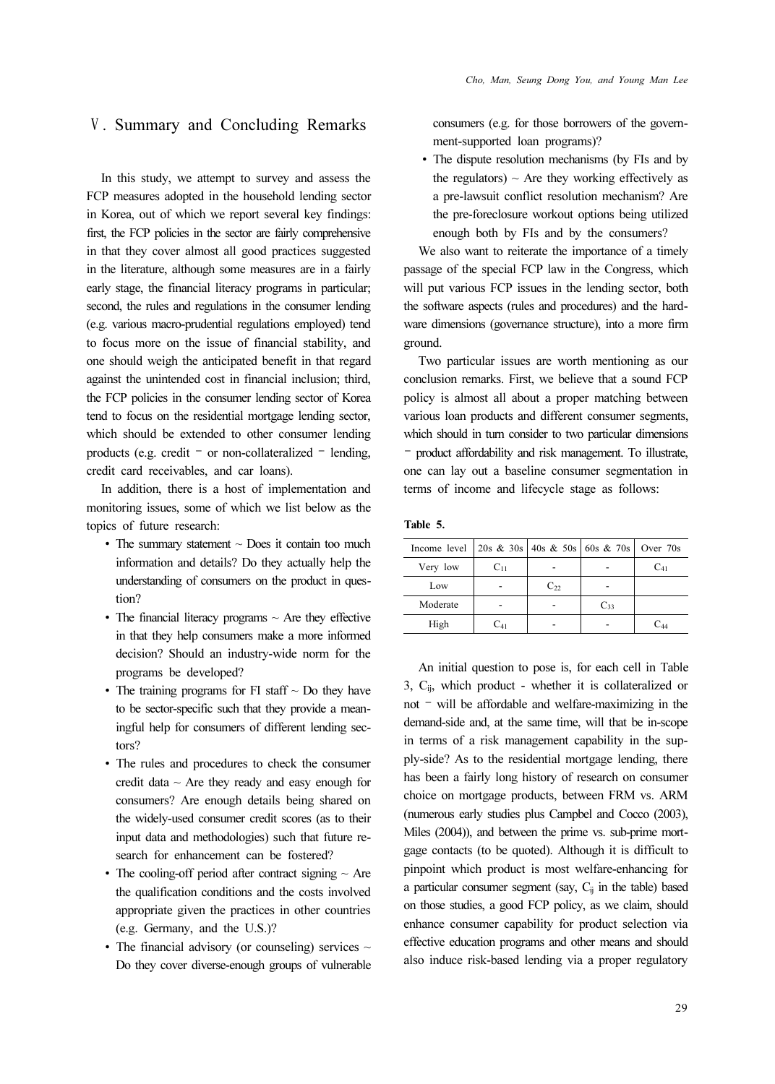# Ⅴ. Summary and Concluding Remarks

In this study, we attempt to survey and assess the FCP measures adopted in the household lending sector in Korea, out of which we report several key findings: first, the FCP policies in the sector are fairly comprehensive in that they cover almost all good practices suggested in the literature, although some measures are in a fairly early stage, the financial literacy programs in particular; second, the rules and regulations in the consumer lending (e.g. various macro-prudential regulations employed) tend to focus more on the issue of financial stability, and one should weigh the anticipated benefit in that regard against the unintended cost in financial inclusion; third, the FCP policies in the consumer lending sector of Korea tend to focus on the residential mortgage lending sector, which should be extended to other consumer lending products (e.g. credit – or non-collateralized – lending, credit card receivables, and car loans).

In addition, there is a host of implementation and monitoring issues, some of which we list below as the topics of future research:

- ∙The summary statement ~ Does it contain too much information and details? Do they actually help the understanding of consumers on the product in question?
- ∙The financial literacy programs ~ Are they effective in that they help consumers make a more informed decision? Should an industry-wide norm for the programs be developed?
- ∙ The training programs for FI staff ~ Do they have to be sector-specific such that they provide a meaningful help for consumers of different lending sectors?
- ∙ The rules and procedures to check the consumer credit data  $\sim$  Are they ready and easy enough for consumers? Are enough details being shared on the widely-used consumer credit scores (as to their input data and methodologies) such that future research for enhancement can be fostered?
- ∙The cooling-off period after contract signing ~ Are the qualification conditions and the costs involved appropriate given the practices in other countries (e.g. Germany, and the U.S.)?
- ∙ The financial advisory (or counseling) services ~ Do they cover diverse-enough groups of vulnerable

consumers (e.g. for those borrowers of the government-supported loan programs)?

∙ The dispute resolution mechanisms (by FIs and by the regulators)  $\sim$  Are they working effectively as a pre-lawsuit conflict resolution mechanism? Are the pre-foreclosure workout options being utilized enough both by FIs and by the consumers?

We also want to reiterate the importance of a timely passage of the special FCP law in the Congress, which will put various FCP issues in the lending sector, both the software aspects (rules and procedures) and the hardware dimensions (governance structure), into a more firm ground.

Two particular issues are worth mentioning as our conclusion remarks. First, we believe that a sound FCP policy is almost all about a proper matching between various loan products and different consumer segments, which should in turn consider to two particular dimensions – product affordability and risk management. To illustrate, one can lay out a baseline consumer segmentation in terms of income and lifecycle stage as follows:

| Table |  |
|-------|--|
|-------|--|

| Income level 20s & 30s 40s & 50s 60s & 70s   Over 70s |          |          |          |          |
|-------------------------------------------------------|----------|----------|----------|----------|
| Very low                                              | $C_{11}$ |          |          | $C_{41}$ |
| Low                                                   |          | $C_{22}$ |          |          |
| Moderate                                              |          |          | $C_{33}$ |          |
| High                                                  | $C_{41}$ |          |          | Caa      |

An initial question to pose is, for each cell in Table 3, Cij, which product - whether it is collateralized or not – will be affordable and welfare-maximizing in the demand-side and, at the same time, will that be in-scope in terms of a risk management capability in the supply-side? As to the residential mortgage lending, there has been a fairly long history of research on consumer choice on mortgage products, between FRM vs. ARM (numerous early studies plus Campbel and Cocco (2003), Miles (2004)), and between the prime vs. sub-prime mortgage contacts (to be quoted). Although it is difficult to pinpoint which product is most welfare-enhancing for a particular consumer segment (say,  $C_{ij}$  in the table) based on those studies, a good FCP policy, as we claim, should enhance consumer capability for product selection via effective education programs and other means and should also induce risk-based lending via a proper regulatory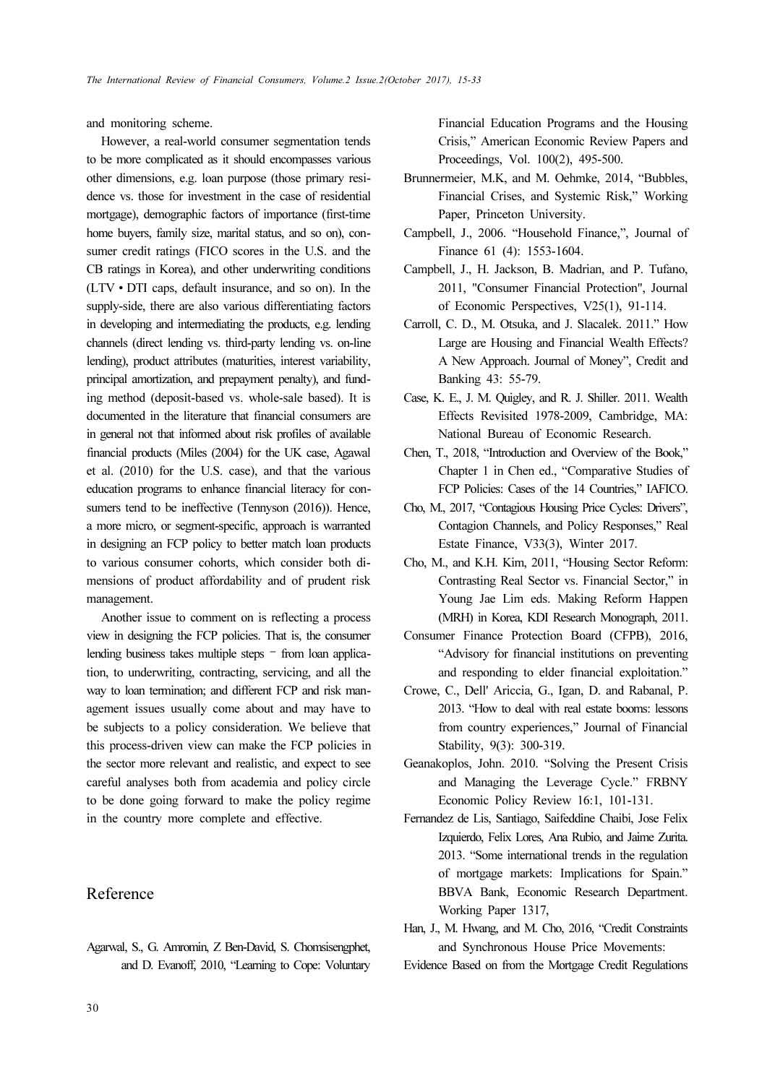and monitoring scheme.

However, a real-world consumer segmentation tends to be more complicated as it should encompasses various other dimensions, e.g. loan purpose (those primary residence vs. those for investment in the case of residential mortgage), demographic factors of importance (first-time home buyers, family size, marital status, and so on), consumer credit ratings (FICO scores in the U.S. and the CB ratings in Korea), and other underwriting conditions (LTV∙DTI caps, default insurance, and so on). In the supply-side, there are also various differentiating factors in developing and intermediating the products, e.g. lending channels (direct lending vs. third-party lending vs. on-line lending), product attributes (maturities, interest variability, principal amortization, and prepayment penalty), and funding method (deposit-based vs. whole-sale based). It is documented in the literature that financial consumers are in general not that informed about risk profiles of available financial products (Miles (2004) for the UK case, Agawal et al. (2010) for the U.S. case), and that the various education programs to enhance financial literacy for consumers tend to be ineffective (Tennyson (2016)). Hence, a more micro, or segment-specific, approach is warranted in designing an FCP policy to better match loan products to various consumer cohorts, which consider both dimensions of product affordability and of prudent risk management.

Another issue to comment on is reflecting a process view in designing the FCP policies. That is, the consumer lending business takes multiple steps – from loan application, to underwriting, contracting, servicing, and all the way to loan termination; and different FCP and risk management issues usually come about and may have to be subjects to a policy consideration. We believe that this process-driven view can make the FCP policies in the sector more relevant and realistic, and expect to see careful analyses both from academia and policy circle to be done going forward to make the policy regime in the country more complete and effective.

## Reference

Agarwal, S., G. Amromin, Z Ben-David, S. Chomsisengphet, and D. Evanoff, 2010, "Learning to Cope: Voluntary Financial Education Programs and the Housing Crisis," American Economic Review Papers and Proceedings, Vol. 100(2), 495-500.

- Brunnermeier, M.K, and M. Oehmke, 2014, "Bubbles, Financial Crises, and Systemic Risk," Working Paper, Princeton University.
- Campbell, J., 2006. "Household Finance,", Journal of Finance 61 (4): 1553-1604.
- Campbell, J., H. Jackson, B. Madrian, and P. Tufano, 2011, "Consumer Financial Protection", Journal of Economic Perspectives, V25(1), 91-114.
- Carroll, C. D., M. Otsuka, and J. Slacalek. 2011." How Large are Housing and Financial Wealth Effects? A New Approach. Journal of Money", Credit and Banking 43: 55-79.
- Case, K. E., J. M. Quigley, and R. J. Shiller. 2011. Wealth Effects Revisited 1978-2009, Cambridge, MA: National Bureau of Economic Research.
- Chen, T., 2018, "Introduction and Overview of the Book," Chapter 1 in Chen ed., "Comparative Studies of FCP Policies: Cases of the 14 Countries," IAFICO.
- Cho, M., 2017, "Contagious Housing Price Cycles: Drivers", Contagion Channels, and Policy Responses," Real Estate Finance, V33(3), Winter 2017.
- Cho, M., and K.H. Kim, 2011, "Housing Sector Reform: Contrasting Real Sector vs. Financial Sector," in Young Jae Lim eds. Making Reform Happen (MRH) in Korea, KDI Research Monograph, 2011.
- Consumer Finance Protection Board (CFPB), 2016, "Advisory for financial institutions on preventing and responding to elder financial exploitation."
- Crowe, C., Dell' Ariccia, G., Igan, D. and Rabanal, P. 2013. "How to deal with real estate booms: lessons from country experiences," Journal of Financial Stability, 9(3): 300-319.
- Geanakoplos, John. 2010. "Solving the Present Crisis and Managing the Leverage Cycle." FRBNY Economic Policy Review 16:1, 101-131.
- Fernandez de Lis, Santiago, Saifeddine Chaibi, Jose Felix Izquierdo, Felix Lores, Ana Rubio, and Jaime Zurita. 2013. "Some international trends in the regulation of mortgage markets: Implications for Spain." BBVA Bank, Economic Research Department. Working Paper 1317,
- Han, J., M. Hwang, and M. Cho, 2016, "Credit Constraints and Synchronous House Price Movements:
- Evidence Based on from the Mortgage Credit Regulations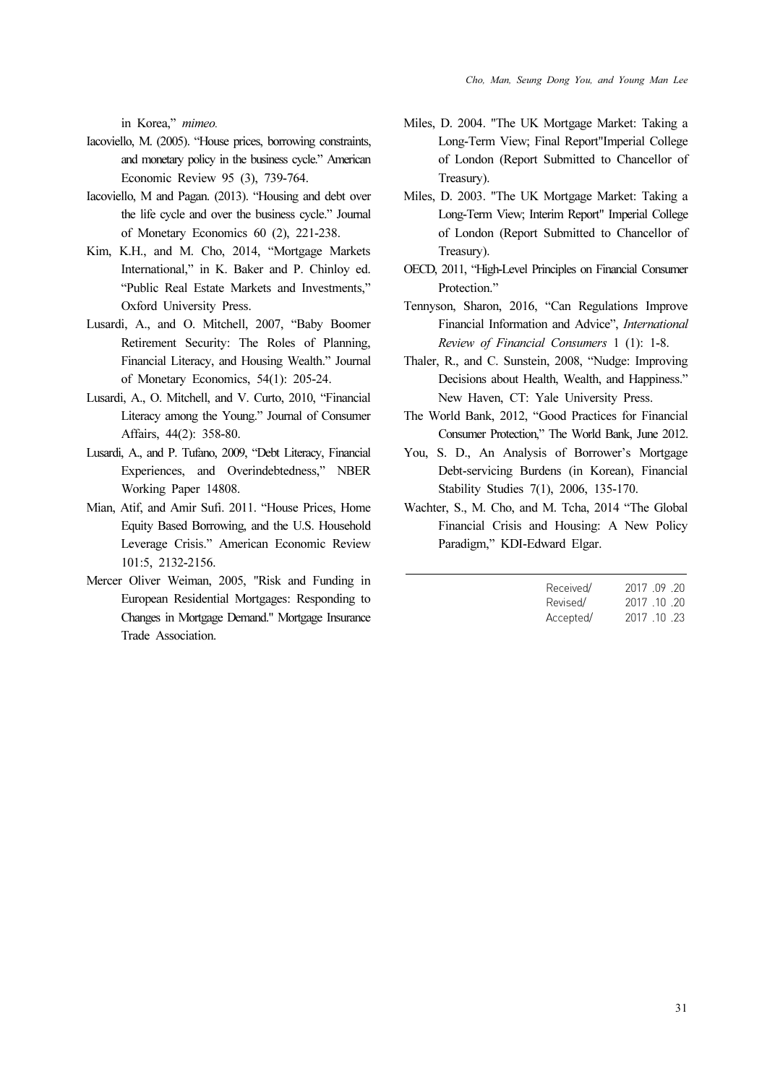in Korea," mimeo.

- Iacoviello, M. (2005). "House prices, borrowing constraints, and monetary policy in the business cycle." American Economic Review 95 (3), 739-764.
- Iacoviello, M and Pagan. (2013). "Housing and debt over the life cycle and over the business cycle." Journal of Monetary Economics 60 (2), 221-238.
- Kim, K.H., and M. Cho, 2014, "Mortgage Markets International," in K. Baker and P. Chinloy ed. "Public Real Estate Markets and Investments," Oxford University Press.
- Lusardi, A., and O. Mitchell, 2007, "Baby Boomer Retirement Security: The Roles of Planning, Financial Literacy, and Housing Wealth." Journal of Monetary Economics, 54(1): 205-24.
- Lusardi, A., O. Mitchell, and V. Curto, 2010, "Financial Literacy among the Young." Journal of Consumer Affairs, 44(2): 358-80.
- Lusardi, A., and P. Tufano, 2009, "Debt Literacy, Financial Experiences, and Overindebtedness," NBER Working Paper 14808.
- Mian, Atif, and Amir Sufi. 2011. "House Prices, Home Equity Based Borrowing, and the U.S. Household Leverage Crisis." American Economic Review 101:5, 2132-2156.
- Mercer Oliver Weiman, 2005, "Risk and Funding in European Residential Mortgages: Responding to Changes in Mortgage Demand." Mortgage Insurance Trade Association.
- Miles, D. 2004. "The UK Mortgage Market: Taking a Long-Term View; Final Report"Imperial College of London (Report Submitted to Chancellor of Treasury).
- Miles, D. 2003. "The UK Mortgage Market: Taking a Long-Term View; Interim Report" Imperial College of London (Report Submitted to Chancellor of Treasury).
- OECD, 2011, "High-Level Principles on Financial Consumer Protection."
- Tennyson, Sharon, 2016, "Can Regulations Improve Financial Information and Advice", International Review of Financial Consumers 1 (1): 1-8.
- Thaler, R., and C. Sunstein, 2008, "Nudge: Improving Decisions about Health, Wealth, and Happiness." New Haven, CT: Yale University Press.
- The World Bank, 2012, "Good Practices for Financial Consumer Protection," The World Bank, June 2012.
- You, S. D., An Analysis of Borrower's Mortgage Debt-servicing Burdens (in Korean), Financial Stability Studies 7(1), 2006, 135-170.
- Wachter, S., M. Cho, and M. Tcha, 2014 "The Global Financial Crisis and Housing: A New Policy Paradigm," KDI-Edward Elgar.

| Received/ | 2017 09 20 |
|-----------|------------|
| Revised/  | 2017 10 20 |
| Accepted/ | 2017 10 23 |
|           |            |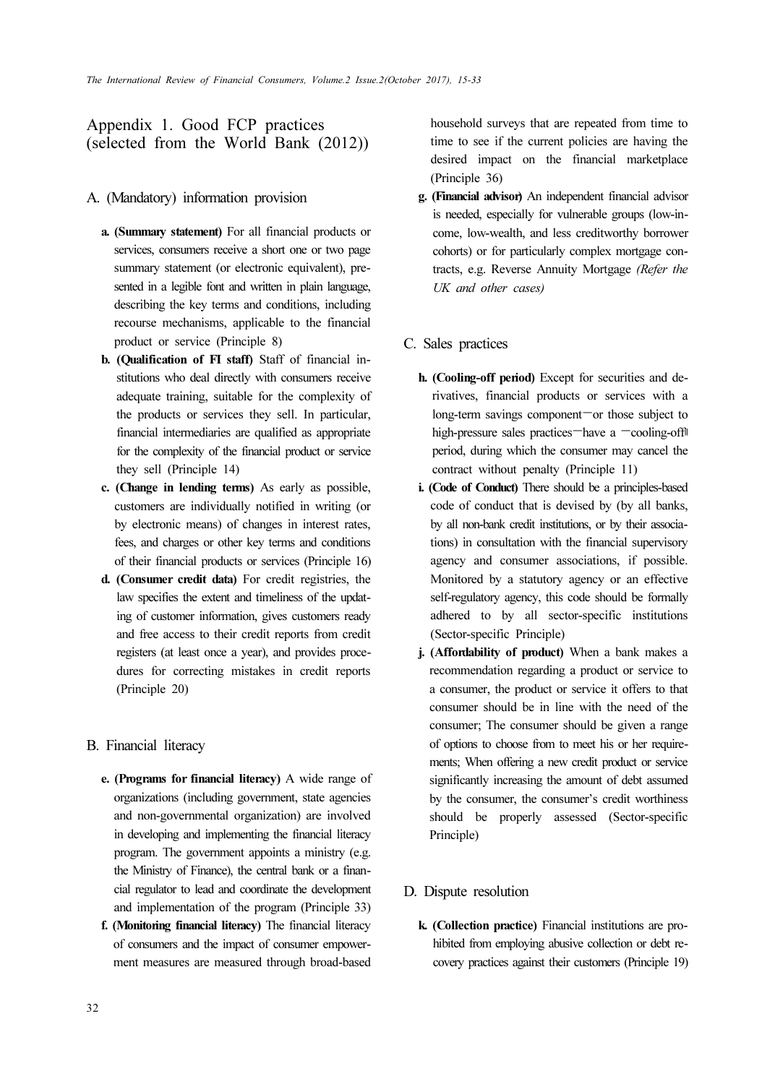# Appendix 1. Good FCP practices (selected from the World Bank (2012))

## A. (Mandatory) information provision

- a. (Summary statement) For all financial products or services, consumers receive a short one or two page summary statement (or electronic equivalent), presented in a legible font and written in plain language, describing the key terms and conditions, including recourse mechanisms, applicable to the financial product or service (Principle 8)
- b. (Qualification of FI staff) Staff of financial institutions who deal directly with consumers receive adequate training, suitable for the complexity of the products or services they sell. In particular, financial intermediaries are qualified as appropriate for the complexity of the financial product or service they sell (Principle 14)
- c. (Change in lending terms) As early as possible, customers are individually notified in writing (or by electronic means) of changes in interest rates, fees, and charges or other key terms and conditions of their financial products or services (Principle 16)
- d. (Consumer credit data) For credit registries, the law specifies the extent and timeliness of the updating of customer information, gives customers ready and free access to their credit reports from credit registers (at least once a year), and provides procedures for correcting mistakes in credit reports (Principle 20)

## B. Financial literacy

- e. (Programs for financial literacy) A wide range of organizations (including government, state agencies and non-governmental organization) are involved in developing and implementing the financial literacy program. The government appoints a ministry (e.g. the Ministry of Finance), the central bank or a financial regulator to lead and coordinate the development and implementation of the program (Principle 33)
- f. (Monitoring financial literacy) The financial literacy of consumers and the impact of consumer empowerment measures are measured through broad-based

household surveys that are repeated from time to time to see if the current policies are having the desired impact on the financial marketplace (Principle 36)

g. (Financial advisor) An independent financial advisor is needed, especially for vulnerable groups (low-income, low-wealth, and less creditworthy borrower cohorts) or for particularly complex mortgage contracts, e.g. Reverse Annuity Mortgage (Refer the UK and other cases)

## C. Sales practices

- h. (Cooling-off period) Except for securities and derivatives, financial products or services with a long-term savings component—or those subject to high-pressure sales practices—have a —cooling-offl period, during which the consumer may cancel the contract without penalty (Principle 11)
- i. (Code of Conduct) There should be a principles-based code of conduct that is devised by (by all banks, by all non-bank credit institutions, or by their associations) in consultation with the financial supervisory agency and consumer associations, if possible. Monitored by a statutory agency or an effective self-regulatory agency, this code should be formally adhered to by all sector-specific institutions (Sector-specific Principle)
- j. (Affordability of product) When a bank makes a recommendation regarding a product or service to a consumer, the product or service it offers to that consumer should be in line with the need of the consumer; The consumer should be given a range of options to choose from to meet his or her requirements; When offering a new credit product or service significantly increasing the amount of debt assumed by the consumer, the consumer's credit worthiness should be properly assessed (Sector-specific Principle)

## D. Dispute resolution

k. (Collection practice) Financial institutions are prohibited from employing abusive collection or debt recovery practices against their customers (Principle 19)